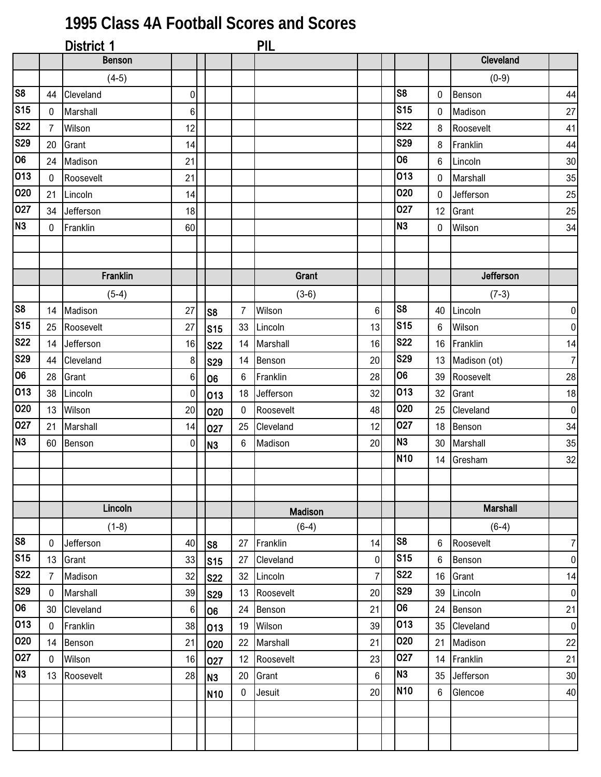## **1995 Class 4A Football Scores and Scores**

|                 |                | District 1    |                  |                 |                | PIL            |                |                 |    |                 |                  |
|-----------------|----------------|---------------|------------------|-----------------|----------------|----------------|----------------|-----------------|----|-----------------|------------------|
|                 |                | <b>Benson</b> |                  |                 |                |                |                |                 |    | Cleveland       |                  |
|                 |                | $(4-5)$       |                  |                 |                |                |                |                 |    | $(0-9)$         |                  |
| S <sub>8</sub>  | 44             | Cleveland     | 0                |                 |                |                |                | S8              | 0  | Benson          | 44               |
| S <sub>15</sub> | $\mathbf 0$    | Marshall      | $6 \overline{6}$ |                 |                |                |                | S <sub>15</sub> | 0  | Madison         | 27               |
| <b>S22</b>      | $\overline{7}$ | Wilson        | 12               |                 |                |                |                | <b>S22</b>      | 8  | Roosevelt       | 41               |
| <b>S29</b>      | 20             | Grant         | 14               |                 |                |                |                | <b>S29</b>      | 8  | Franklin        | 44               |
| 06              | 24             | Madison       | 21               |                 |                |                |                | 06              | 6  | Lincoln         | $30\,$           |
| 013             | $\mathbf 0$    | Roosevelt     | 21               |                 |                |                |                | 013             | 0  | Marshall        | 35               |
| 020             | 21             | Lincoln       | 14               |                 |                |                |                | 020             | 0  | Jefferson       | 25               |
| 027             | 34             | Jefferson     | 18               |                 |                |                |                | 027             | 12 | Grant           | 25               |
| N <sub>3</sub>  | $\mathbf 0$    | Franklin      | 60               |                 |                |                |                | N <sub>3</sub>  | 0  | Wilson          | 34               |
|                 |                |               |                  |                 |                |                |                |                 |    |                 |                  |
|                 |                |               |                  |                 |                |                |                |                 |    |                 |                  |
|                 |                | Franklin      |                  |                 |                | Grant          |                |                 |    | Jefferson       |                  |
|                 |                | $(5-4)$       |                  |                 |                | $(3-6)$        |                |                 |    | $(7-3)$         |                  |
| S <sub>8</sub>  | 14             | Madison       | 27               | S8              | $\overline{7}$ | Wilson         | $6\phantom{1}$ | S8              | 40 | Lincoln         | $\pmb{0}$        |
| S <sub>15</sub> | 25             | Roosevelt     | 27               | s <sub>15</sub> | 33             | Lincoln        | 13             | S15             | 6  | Wilson          | 0                |
| <b>S22</b>      | 14             | Jefferson     | 16               | <b>S22</b>      |                | 14 Marshall    | 16             | <b>S22</b>      | 16 | Franklin        | 14               |
| <b>S29</b>      | 44             | Cleveland     | 8                | <b>S29</b>      | 14             | Benson         | 20             | <b>S29</b>      | 13 | Madison (ot)    | $\overline{7}$   |
| 06              | 28             | Grant         | 6                | 06              | 6              | Franklin       | 28             | 06              | 39 | Roosevelt       | 28               |
| 013             | 38             | Lincoln       | $\overline{0}$   | 013             |                | 18 Jefferson   | 32             | 013             | 32 | Grant           | 18               |
| 020             | 13             | Wilson        | 20               | 020             | 0              | Roosevelt      | 48             | 020             | 25 | Cleveland       | $\pmb{0}$        |
| 027             | 21             | Marshall      | 14               | 027             | 25             | Cleveland      | 12             | 027             | 18 | Benson          | 34               |
| N <sub>3</sub>  | 60             | Benson        | $\overline{0}$   | N <sub>3</sub>  | 6              | Madison        | 20             | N <sub>3</sub>  | 30 | Marshall        | 35               |
|                 |                |               |                  |                 |                |                |                | <b>N10</b>      | 14 | Gresham         | $32\,$           |
|                 |                |               |                  |                 |                |                |                |                 |    |                 |                  |
|                 |                |               |                  |                 |                |                |                |                 |    |                 |                  |
|                 |                | Lincoln       |                  |                 |                | <b>Madison</b> |                |                 |    | <b>Marshall</b> |                  |
|                 |                | $(1-8)$       |                  |                 |                | $(6-4)$        |                |                 |    | $(6-4)$         |                  |
| S <sub>8</sub>  | 0              | Jefferson     | 40               | S8              | 27             | Franklin       | 14             | S <sub>8</sub>  | 6  | Roosevelt       | $7\vert$         |
| S <sub>15</sub> | 13             | Grant         | 33               | $\mathsf{S}$ 15 | 27             | Cleveland      | $\mathbf 0$    | S <sub>15</sub> | 6  | Benson          | $\boldsymbol{0}$ |
| <b>S22</b>      | $\overline{7}$ | Madison       | 32               | <b>S22</b>      | 32             | Lincoln        | $\overline{7}$ | <b>S22</b>      | 16 | Grant           | 14               |
| <b>S29</b>      | $\mathbf 0$    | Marshall      | 39               | <b>S29</b>      | 13             | Roosevelt      | 20             | <b>S29</b>      | 39 | Lincoln         | $\pmb{0}$        |
| 06              | 30             | Cleveland     | 6                | <b>06</b>       | 24             | Benson         | 21             | 06              | 24 | Benson          | 21               |
| 013             | $\bf{0}$       | Franklin      | 38               | 013             | 19             | Wilson         | 39             | 013             | 35 | Cleveland       | $\pmb{0}$        |
| 020             | 14             | Benson        | 21               | 020             | 22             | Marshall       | 21             | 020             | 21 | Madison         | 22               |
| 027             | $\mathbf 0$    | Wilson        | 16               | 027             | 12             | Roosevelt      | 23             | 027             | 14 | Franklin        | 21               |
| N <sub>3</sub>  | 13             | Roosevelt     | 28               | IN3             | 20             | Grant          | $6\phantom{.}$ | N <sub>3</sub>  | 35 | Jefferson       | $30\,$           |
|                 |                |               |                  | N <sub>10</sub> | 0              | Jesuit         | 20             | N <sub>10</sub> | 6  | Glencoe         | 40               |
|                 |                |               |                  |                 |                |                |                |                 |    |                 |                  |
|                 |                |               |                  |                 |                |                |                |                 |    |                 |                  |
|                 |                |               |                  |                 |                |                |                |                 |    |                 |                  |
|                 |                |               |                  |                 |                |                |                |                 |    |                 |                  |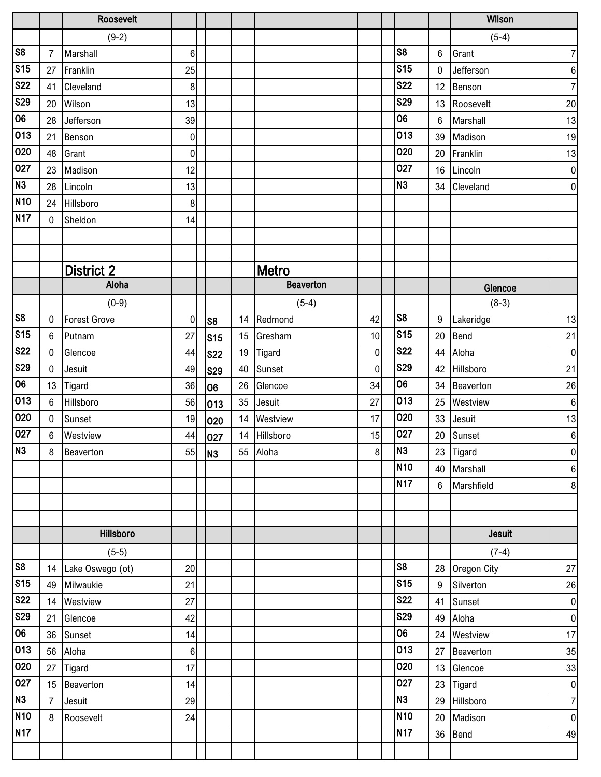|                         |                | Roosevelt           |                  |                 |    |                  |                  |                          |                | Wilson         |                  |
|-------------------------|----------------|---------------------|------------------|-----------------|----|------------------|------------------|--------------------------|----------------|----------------|------------------|
|                         |                | $(9-2)$             |                  |                 |    |                  |                  |                          |                | $(5-4)$        |                  |
| $\overline{\text{S8}}$  | $\overline{7}$ | Marshall            | 6 <sup>1</sup>   |                 |    |                  |                  | S <sub>8</sub>           | 6              | Grant          | $\overline{7}$   |
| S <sub>15</sub>         | 27             | Franklin            | 25               |                 |    |                  |                  | S <sub>15</sub>          | $\mathbf{0}$   | Jefferson      | $\boldsymbol{6}$ |
| <b>S22</b>              | 41             | Cleveland           | $\boldsymbol{8}$ |                 |    |                  |                  | <b>S22</b>               | 12             | Benson         | $\overline{7}$   |
| S <sub>29</sub>         | 20             | Wilson              | 13               |                 |    |                  |                  | <b>S29</b>               | 13             | Roosevelt      | 20               |
| 06                      | 28             | Jefferson           | 39               |                 |    |                  |                  | 06                       | $6\phantom{1}$ | Marshall       | 13               |
| 013                     | 21             | Benson              | $\overline{0}$   |                 |    |                  |                  | 013                      | 39             | Madison        | 19               |
| 020                     | 48             | Grant               | $\overline{0}$   |                 |    |                  |                  | 020                      | 20             | Franklin       | 13               |
| 027                     | 23             | Madison             | 12               |                 |    |                  |                  | 027                      | 16             | Lincoln        | $\overline{0}$   |
| N3                      | 28             | Lincoln             | 13               |                 |    |                  |                  | N <sub>3</sub>           | 34             | Cleveland      | $\overline{0}$   |
| N <sub>10</sub>         | 24             | Hillsboro           | 8 <sup>1</sup>   |                 |    |                  |                  |                          |                |                |                  |
| N <sub>17</sub>         | 0              | Sheldon             | 14               |                 |    |                  |                  |                          |                |                |                  |
|                         |                |                     |                  |                 |    |                  |                  |                          |                |                |                  |
|                         |                |                     |                  |                 |    |                  |                  |                          |                |                |                  |
|                         |                | <b>District 2</b>   |                  |                 |    | Metro            |                  |                          |                |                |                  |
|                         |                | Aloha               |                  |                 |    | <b>Beaverton</b> |                  |                          |                | Glencoe        |                  |
|                         |                | $(0-9)$             |                  |                 |    | $(5-4)$          |                  |                          |                | $(8-3)$        |                  |
| $\overline{\text{S8}}$  | 0              | <b>Forest Grove</b> | $\overline{0}$   | S <sub>8</sub>  | 14 | Redmond          | 42               | S <sub>8</sub>           | 9              | Lakeridge      | 13               |
| S <sub>15</sub>         | 6              | Putnam              | 27               | S <sub>15</sub> | 15 | Gresham          | 10               | s <sub>15</sub>          | 20             | Bend           | 21               |
| <b>S22</b>              | 0              | Glencoe             | 44               | <b>S22</b>      | 19 | Tigard           | $\mathbf 0$      | <b>S22</b>               | 44             | Aloha          | $\overline{0}$   |
| <b>S29</b>              | $\mathbf 0$    | Jesuit              | 49               | <b>S29</b>      | 40 | Sunset           | $\overline{0}$   | <b>S29</b>               | 42             | Hillsboro      | 21               |
| 06                      | 13             | Tigard              | 36               | 106             | 26 | Glencoe          | 34               | 06                       | 34             | Beaverton      | 26               |
| 013                     | 6              | Hillsboro           | 56               | 013             | 35 | Jesuit           | 27               | 013                      | 25             | Westview       | $\boldsymbol{6}$ |
| 020                     | $\mathbf 0$    | Sunset              | 19               | 020             | 14 | Westview         | 17               | 020                      | 33             | Jesuit         | 13               |
| 027                     | 6              | Westview            | 44               | 027             | 14 | Hillsboro        | 15               | 027                      | 20             | Sunset         | $\boldsymbol{6}$ |
| N3                      | 8              | Beaverton           |                  | 55 N3           |    | 55 Aloha         | $\boldsymbol{8}$ | N <sub>3</sub>           |                | 23 Tigard      | $\overline{0}$   |
|                         |                |                     |                  |                 |    |                  |                  | N10                      | 40             | Marshall       | $\,6\,$          |
|                         |                |                     |                  |                 |    |                  |                  | N <sub>17</sub>          | $6\phantom{.}$ | Marshfield     | 8                |
|                         |                |                     |                  |                 |    |                  |                  |                          |                |                |                  |
|                         |                |                     |                  |                 |    |                  |                  |                          |                |                |                  |
|                         |                | Hillsboro           |                  |                 |    |                  |                  |                          |                | Jesuit         |                  |
|                         |                | $(5-5)$             |                  |                 |    |                  |                  |                          |                | $(7-4)$        |                  |
| $\overline{\text{S8}}$  |                | 14 Lake Oswego (ot) | 20               |                 |    |                  |                  | S <sub>8</sub>           |                | 28 Oregon City | 27               |
| $\overline{\text{S15}}$ | 49             | Milwaukie           | 21               |                 |    |                  |                  | S <sub>15</sub>          | $9\,$          | Silverton      | $26\,$           |
| <b>S22</b>              | 14             | Westview            | 27               |                 |    |                  |                  | <b>S22</b><br><b>S29</b> | 41             | Sunset         | $\overline{0}$   |
| <b>S29</b>              | 21             | Glencoe             | 42               |                 |    |                  |                  |                          | 49             | Aloha          | $\overline{0}$   |
| 06                      | 36             | Sunset              | 14               |                 |    |                  |                  | 06                       | 24             | Westview       | 17               |
| 013                     | 56             | Aloha               | 6                |                 |    |                  |                  | 013                      | 27             | Beaverton      | 35               |
| 020                     | 27             | Tigard              | 17               |                 |    |                  |                  | 020                      | 13             | Glencoe        | 33               |
| $\sqrt{0}27$            | 15             | Beaverton           | 14               |                 |    |                  |                  | 027                      | 23             | Tigard         | $\overline{0}$   |
| N3                      | $\overline{7}$ | Jesuit              | 29               |                 |    |                  |                  | N <sub>3</sub>           | 29             | Hillsboro      | $\overline{7}$   |
| <b>N10</b>              | 8              | Roosevelt           | 24               |                 |    |                  |                  | N <sub>10</sub>          | 20             | Madison        | $\overline{0}$   |
| N <sub>17</sub>         |                |                     |                  |                 |    |                  |                  | <b>N17</b>               | 36             | Bend           | 49               |
|                         |                |                     |                  |                 |    |                  |                  |                          |                |                |                  |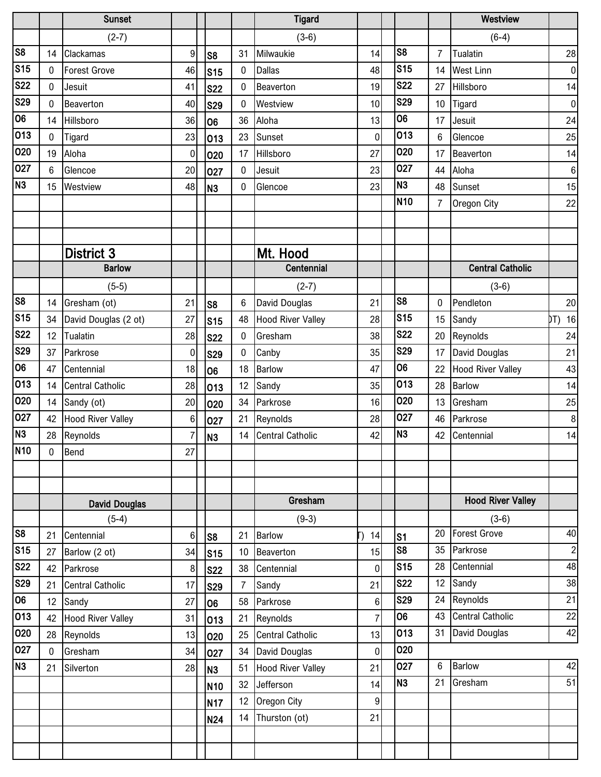|                 |              | <b>Sunset</b>            |                |                 |                | <b>Tigard</b>            |                |                 |                | Westview                 |                |
|-----------------|--------------|--------------------------|----------------|-----------------|----------------|--------------------------|----------------|-----------------|----------------|--------------------------|----------------|
|                 |              | $(2-7)$                  |                |                 |                | $(3-6)$                  |                |                 |                | $(6-4)$                  |                |
| S8              | 14           | Clackamas                | $\overline{9}$ | S <sub>8</sub>  | 31             | Milwaukie                | 14             | S <sub>8</sub>  | 7              | Tualatin                 | 28             |
| S <sub>15</sub> | 0            | <b>Forest Grove</b>      | 46             | S <sub>15</sub> | 0              | <b>Dallas</b>            | 48             | <b>S15</b>      | 14             | <b>West Linn</b>         | $\overline{0}$ |
| <b>S22</b>      | 0            | Jesuit                   | 41             | <b>S22</b>      | 0              | Beaverton                | 19             | <b>S22</b>      | 27             | Hillsboro                | 14             |
| <b>S29</b>      | $\mathbf{0}$ | Beaverton                | 40             | <b>S29</b>      | 0              | Westview                 | 10             | <b>S29</b>      | 10             | Tigard                   | $\overline{0}$ |
| 06              | 14           | Hillsboro                | 36             | 06              | 36             | Aloha                    | 13             | 06              | 17             | Jesuit                   | 24             |
| 013             | $\mathbf{0}$ | Tigard                   | 23             | 013             | 23             | Sunset                   | $\overline{0}$ | 013             | $\,6$          | Glencoe                  | 25             |
| 020             | 19           | Aloha                    | $\overline{0}$ | 020             | 17             | Hillsboro                | 27             | 020             | 17             | Beaverton                | 14             |
| 027             | 6            | Glencoe                  | 20             | 027             | 0              | Jesuit                   | 23             | 027             | 44             | Aloha                    | $\,6\,$        |
| N <sub>3</sub>  | 15           | Westview                 | 48             | N <sub>3</sub>  | 0              | Glencoe                  | 23             | N <sub>3</sub>  | 48             | Sunset                   | 15             |
|                 |              |                          |                |                 |                |                          |                | N <sub>10</sub> | $\overline{7}$ | Oregon City              | 22             |
|                 |              |                          |                |                 |                |                          |                |                 |                |                          |                |
|                 |              |                          |                |                 |                |                          |                |                 |                |                          |                |
|                 |              | <b>District 3</b>        |                |                 |                | Mt. Hood                 |                |                 |                |                          |                |
|                 |              | <b>Barlow</b>            |                |                 |                | Centennial               |                |                 |                | <b>Central Catholic</b>  |                |
|                 |              | $(5-5)$                  |                |                 |                | $(2-7)$                  |                |                 |                | $(3-6)$                  |                |
| S <sub>8</sub>  | 14           | Gresham (ot)             | 21             | S <sub>8</sub>  | 6              | David Douglas            | 21             | S <sub>8</sub>  | 0              | Pendleton                | 20             |
| S <sub>15</sub> | 34           | David Douglas (2 ot)     | 27             | S <sub>15</sub> | 48             | <b>Hood River Valley</b> | 28             | S <sub>15</sub> | 15             | Sandy                    | 16<br>DT)      |
| <b>S22</b>      | 12           | Tualatin                 | 28             | <b>S22</b>      | 0              | Gresham                  | 38             | <b>S22</b>      | 20             | Reynolds                 | 24             |
| <b>S29</b>      | 37           | Parkrose                 | $\overline{0}$ | <b>S29</b>      | 0              | Canby                    | 35             | <b>S29</b>      | 17             | David Douglas            | 21             |
| 06              | 47           | Centennial               | 18             | 06              | 18             | <b>Barlow</b>            | 47             | 06              | 22             | <b>Hood River Valley</b> | 43             |
| 013             | 14           | <b>Central Catholic</b>  | 28             | 013             | 12             | Sandy                    | 35             | 013             | 28             | <b>Barlow</b>            | 14             |
| 020             | 14           | Sandy (ot)               | 20             | 020             | 34             | Parkrose                 | 16             | 020             | 13             | Gresham                  | 25             |
| 027             | 42           | <b>Hood River Valley</b> | 6              | 027             | 21             | Reynolds                 | 28             | 027             | 46             | Parkrose                 | 8              |
| N <sub>3</sub>  | 28           | Reynolds                 | $\overline{7}$ | N <sub>3</sub>  | 14             | <b>Central Catholic</b>  | 42             | N <sub>3</sub>  | 42             | Centennial               | 14             |
| N <sub>10</sub> | $\pmb{0}$    | Bend                     | 27             |                 |                |                          |                |                 |                |                          |                |
|                 |              |                          |                |                 |                |                          |                |                 |                |                          |                |
|                 |              |                          |                |                 |                |                          |                |                 |                |                          |                |
|                 |              | <b>David Douglas</b>     |                |                 |                | Gresham                  |                |                 |                | <b>Hood River Valley</b> |                |
|                 |              | $(5-4)$                  |                |                 |                | $(9-3)$                  |                |                 |                | $(3-6)$                  |                |
| S <sub>8</sub>  | 21           | Centennial               | $6 \mid$       | S8              | 21             | <b>Barlow</b>            | 14<br>J        | s <sub>1</sub>  | 20             | Forest Grove             | 40             |
| S <sub>15</sub> | 27           | Barlow (2 ot)            | 34             | S <sub>15</sub> | 10             | Beaverton                | 15             | S <sub>8</sub>  | 35             | Parkrose                 | $\mathbf{2}$   |
| <b>S22</b>      | 42           | Parkrose                 | 8 <sup>°</sup> | <b>S22</b>      | 38             | Centennial               | 0              | <b>S15</b>      | 28             | Centennial               | 48             |
| S29             | 21           | <b>Central Catholic</b>  | 17             | <b>S29</b>      | $\overline{7}$ | Sandy                    | 21             | <b>S22</b>      | 12             | Sandy                    | 38             |
| 06              | 12           | Sandy                    | 27             | 06              | 58             | Parkrose                 | 6              | <b>S29</b>      | 24             | Reynolds                 | 21             |
| 013             | 42           | <b>Hood River Valley</b> | 31             | 013             | 21             | Reynolds                 | $\overline{7}$ | 06              | 43             | <b>Central Catholic</b>  | 22             |
| 020             | 28           | Reynolds                 | 13             | 020             | 25             | <b>Central Catholic</b>  | 13             | 013             | 31             | David Douglas            | 42             |
| 027             | $\mathbf 0$  | Gresham                  | 34             | 027             | 34             | <b>David Douglas</b>     | 0              | 020             |                |                          |                |
| N <sub>3</sub>  | 21           | Silverton                | 28             | N <sub>3</sub>  | 51             | <b>Hood River Valley</b> | 21             | 027             | 6              | <b>Barlow</b>            | 42             |
|                 |              |                          |                | N <sub>10</sub> | 32             | Jefferson                | 14             | N <sub>3</sub>  | 21             | Gresham                  | 51             |
|                 |              |                          |                | N <sub>17</sub> | 12             | Oregon City              | $9\,$          |                 |                |                          |                |
|                 |              |                          |                | <b>N24</b>      | 14             | Thurston (ot)            | 21             |                 |                |                          |                |
|                 |              |                          |                |                 |                |                          |                |                 |                |                          |                |
|                 |              |                          |                |                 |                |                          |                |                 |                |                          |                |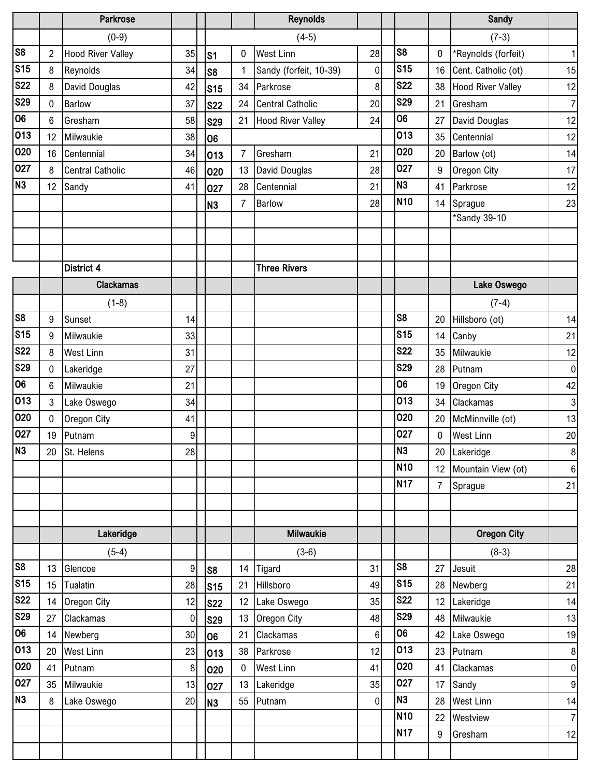|                        |                  | Parkrose                 |                |                 |                | <b>Reynolds</b>          |                |                 |                | Sandy                    |                           |
|------------------------|------------------|--------------------------|----------------|-----------------|----------------|--------------------------|----------------|-----------------|----------------|--------------------------|---------------------------|
|                        |                  | $(0-9)$                  |                |                 |                | $(4-5)$                  |                |                 |                | $(7-3)$                  |                           |
| $\overline{\text{S8}}$ | $\overline{2}$   | <b>Hood River Valley</b> | 35             | S <sub>1</sub>  | 0              | <b>West Linn</b>         | 28             | S <sub>8</sub>  | 0              | *Reynolds (forfeit)      | $\mathbf{1}$              |
| S <sub>15</sub>        | 8                | Reynolds                 | 34             | S8              | 1              | Sandy (forfeit, 10-39)   | 0              | S <sub>15</sub> | 16             | Cent. Catholic (ot)      | 15                        |
| <b>S22</b>             | 8                | David Douglas            | 42             | S <sub>15</sub> | 34             | Parkrose                 | 8              | <b>S22</b>      | 38             | <b>Hood River Valley</b> | 12                        |
| <b>S29</b>             | 0                | Barlow                   | 37             | <b>S22</b>      | 24             | <b>Central Catholic</b>  | 20             | <b>S29</b>      | 21             | Gresham                  | $\overline{7}$            |
| 06                     | 6                | Gresham                  | 58             | <b>S29</b>      | 21             | <b>Hood River Valley</b> | 24             | 06              | 27             | David Douglas            | 12                        |
| 013                    | 12               | Milwaukie                | 38             | 06              |                |                          |                | 013             | 35             | Centennial               | 12                        |
| 020                    | 16               | Centennial               | 34             | 013             | $\overline{7}$ | Gresham                  | 21             | 020             | 20             | Barlow (ot)              | 14                        |
| 027                    | 8                | <b>Central Catholic</b>  | 46             | 020             | 13             | David Douglas            | 28             | 027             | 9              | Oregon City              | 17                        |
| N <sub>3</sub>         | 12               | Sandy                    | 41             | 027             | 28             | Centennial               | 21             | N <sub>3</sub>  | 41             | Parkrose                 | 12                        |
|                        |                  |                          |                | <b>N3</b>       | $\overline{7}$ | <b>Barlow</b>            | 28             | N <sub>10</sub> | 14             | Sprague                  | 23                        |
|                        |                  |                          |                |                 |                |                          |                |                 |                | *Sandy 39-10             |                           |
|                        |                  |                          |                |                 |                |                          |                |                 |                |                          |                           |
|                        |                  |                          |                |                 |                |                          |                |                 |                |                          |                           |
|                        |                  | District 4               |                |                 |                | <b>Three Rivers</b>      |                |                 |                |                          |                           |
|                        |                  | <b>Clackamas</b>         |                |                 |                |                          |                |                 |                | Lake Oswego              |                           |
|                        |                  | $(1-8)$                  |                |                 |                |                          |                |                 |                | $(7-4)$                  |                           |
| S8                     | 9                | Sunset                   | 14             |                 |                |                          |                | S <sub>8</sub>  | 20             | Hillsboro (ot)           | 14                        |
| S <sub>15</sub>        | 9                | Milwaukie                | 33             |                 |                |                          |                | <b>S15</b>      | 14             | Canby                    | 21                        |
| <b>S22</b>             | 8                | <b>West Linn</b>         | 31             |                 |                |                          |                | <b>S22</b>      | 35             | Milwaukie                | 12                        |
| <b>S29</b>             | 0                | Lakeridge                | 27             |                 |                |                          |                | <b>S29</b>      | 28             | Putnam                   | $\pmb{0}$                 |
| 06                     | 6                | Milwaukie                | 21             |                 |                |                          |                | 06              | 19             | Oregon City              | 42                        |
| 013                    | 3                | Lake Oswego              | 34             |                 |                |                          |                | 013             | 34             | Clackamas                | $\ensuremath{\mathsf{3}}$ |
| 020                    | 0                | Oregon City              | 41             |                 |                |                          |                | 020             | 20             | McMinnville (ot)         | 13                        |
| 027                    | 19               | Putnam                   | $\overline{9}$ |                 |                |                          |                | 027             | 0              | <b>West Linn</b>         | $20\,$                    |
| Īм3                    | $20\,$           | St. Helens               | 28             |                 |                |                          |                | N <sub>3</sub>  | 20             | Lakeridge                | $\bf 8$                   |
|                        |                  |                          |                |                 |                |                          |                | N <sub>10</sub> | 12             | Mountain View (ot)       | $\bf 6$                   |
|                        |                  |                          |                |                 |                |                          |                | <b>N17</b>      | $\overline{7}$ | Sprague                  | 21                        |
|                        |                  |                          |                |                 |                |                          |                |                 |                |                          |                           |
|                        |                  |                          |                |                 |                |                          |                |                 |                |                          |                           |
|                        |                  | Lakeridge                |                |                 |                | Milwaukie                |                |                 |                | <b>Oregon City</b>       |                           |
|                        |                  | $(5-4)$                  |                |                 |                | $(3-6)$                  |                |                 |                | $(8-3)$                  |                           |
| S8                     | 13               | Glencoe                  | $\overline{9}$ | S8              | 14             | Tigard                   | 31             | S <sub>8</sub>  | 27             | Jesuit                   | 28                        |
| S <sub>15</sub>        | 15 <sup>15</sup> | Tualatin                 | 28             | S15             | 21             | Hillsboro                | 49             | S <sub>15</sub> | 28             | Newberg                  | 21                        |
| <b>S22</b>             | 14               | Oregon City              | 12             | <b>S22</b>      | 12             | Lake Oswego              | 35             | <b>S22</b>      | 12             | Lakeridge                | 14                        |
| <b>S29</b>             | 27               | Clackamas                | $\overline{0}$ | <b>S29</b>      | 13             | Oregon City              | 48             | <b>S29</b>      | 48             | Milwaukie                | 13                        |
| 06                     | 14               | Newberg                  | 30             | 06              | 21             | Clackamas                | 6              | 06              | 42             | Lake Oswego              | 19                        |
| 013                    | 20               | <b>West Linn</b>         | 23             | 013             | 38             | Parkrose                 | 12             | 013             | 23             | Putnam                   | $\boldsymbol{8}$          |
| 020                    | 41               | Putnam                   | 8 <sup>1</sup> | 020             | 0              | <b>West Linn</b>         | 41             | 020             | 41             | Clackamas                | $\overline{0}$            |
| 027                    | 35               | Milwaukie                | 13             | 027             | 13             | Lakeridge                | 35             | 027             | 17             | Sandy                    | $\overline{9}$            |
| N <sub>3</sub>         | 8                | Lake Oswego              | 20             | N <sub>3</sub>  | 55             | Putnam                   | $\overline{0}$ | N <sub>3</sub>  | 28             | <b>West Linn</b>         | 14                        |
|                        |                  |                          |                |                 |                |                          |                | N <sub>10</sub> | 22             | Westview                 | $\overline{7}$            |
|                        |                  |                          |                |                 |                |                          |                | N <sub>17</sub> | 9              | Gresham                  | 12                        |
|                        |                  |                          |                |                 |                |                          |                |                 |                |                          |                           |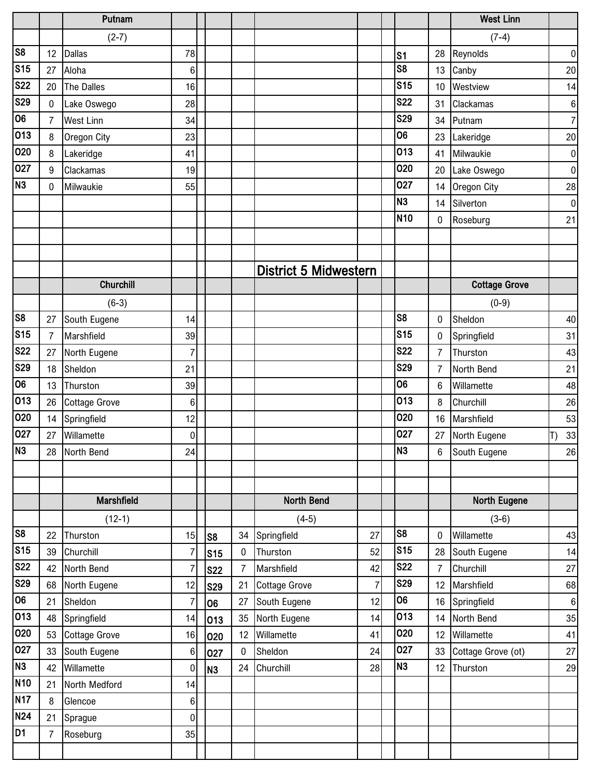|                         |                | Putnam               |                |                 |                |                              |                |                 |                 | <b>West Linn</b>     |                |
|-------------------------|----------------|----------------------|----------------|-----------------|----------------|------------------------------|----------------|-----------------|-----------------|----------------------|----------------|
|                         |                | $(2-7)$              |                |                 |                |                              |                |                 |                 | $(7-4)$              |                |
| $\overline{\text{S8}}$  | 12             | <b>Dallas</b>        | 78             |                 |                |                              |                | $\mathsf{S}$ 1  | 28              | Reynolds             | $\pmb{0}$      |
| S <sub>15</sub>         | 27             | Aloha                | 6              |                 |                |                              |                | S <sub>8</sub>  | 13              | Canby                | 20             |
| $\overline{\text{S}}22$ | 20             | The Dalles           | 16             |                 |                |                              |                | <b>S15</b>      | 10              | Westview             | 14             |
| <b>S29</b>              | $\mathbf 0$    | Lake Oswego          | 28             |                 |                |                              |                | <b>S22</b>      | 31              | Clackamas            | $\bf 6$        |
| 06                      | $\overline{7}$ | West Linn            | 34             |                 |                |                              |                | <b>S29</b>      | 34              | Putnam               | $\overline{7}$ |
| 013                     | 8              | Oregon City          | 23             |                 |                |                              |                | 06              | 23              | Lakeridge            | 20             |
| 020                     | 8              | Lakeridge            | 41             |                 |                |                              |                | 013             | 41              | Milwaukie            | $\overline{0}$ |
| 027                     | 9              | Clackamas            | 19             |                 |                |                              |                | 020             | 20              | Lake Oswego          | $\overline{0}$ |
| N <sub>3</sub>          | 0              | Milwaukie            | 55             |                 |                |                              |                | 027             | 14              | Oregon City          | 28             |
|                         |                |                      |                |                 |                |                              |                | N <sub>3</sub>  | 14              | Silverton            | 0              |
|                         |                |                      |                |                 |                |                              |                | <b>N10</b>      | 0               | Roseburg             | 21             |
|                         |                |                      |                |                 |                |                              |                |                 |                 |                      |                |
|                         |                |                      |                |                 |                |                              |                |                 |                 |                      |                |
|                         |                |                      |                |                 |                | <b>District 5 Midwestern</b> |                |                 |                 |                      |                |
|                         |                | Churchill            |                |                 |                |                              |                |                 |                 | <b>Cottage Grove</b> |                |
|                         |                | $(6-3)$              |                |                 |                |                              |                |                 |                 | $(0-9)$              |                |
| $\overline{\text{S8}}$  | 27             | South Eugene         | 14             |                 |                |                              |                | S <sub>8</sub>  | $\bf{0}$        | Sheldon              | 40             |
| S <sub>15</sub>         | $\overline{7}$ | Marshfield           | 39             |                 |                |                              |                | <b>S15</b>      | 0               | Springfield          | 31             |
| <b>S22</b>              | 27             | North Eugene         | 7              |                 |                |                              |                | <b>S22</b>      | $\overline{7}$  | Thurston             | 43             |
| S29                     | 18             | Sheldon              | 21             |                 |                |                              |                | <b>S29</b>      | $\overline{7}$  | North Bend           | 21             |
| 06                      | 13             | Thurston             | 39             |                 |                |                              |                | 06              | $6\phantom{1}6$ | Willamette           | 48             |
| 013                     | 26             | <b>Cottage Grove</b> | 6              |                 |                |                              |                | 013             | 8               | Churchill            | 26             |
| 020                     | 14             | Springfield          | 12             |                 |                |                              |                | 020             | 16              | Marshfield           | 53             |
| 027                     | 27             | Willamette           | 0              |                 |                |                              |                | 027             | 27              | North Eugene         | 33<br>T)       |
| N3                      |                | 28 North Bend        | 24             |                 |                |                              |                | N <sub>3</sub>  | 6               | South Eugene         | 26             |
|                         |                |                      |                |                 |                |                              |                |                 |                 |                      |                |
|                         |                |                      |                |                 |                |                              |                |                 |                 |                      |                |
|                         |                | Marshfield           |                |                 |                | North Bend                   |                |                 |                 | <b>North Eugene</b>  |                |
|                         |                | $(12-1)$             |                |                 |                | $(4-5)$                      |                |                 |                 | $(3-6)$              |                |
| S <sub>8</sub>          | 22             | Thurston             | 15             | S8              | 34             | Springfield                  | 27             | S <sub>8</sub>  | 0               | Willamette           | 43             |
| S <sub>15</sub>         | 39             | Churchill            | 7              | S <sub>15</sub> | $\pmb{0}$      | Thurston                     | 52             | S <sub>15</sub> | 28              | South Eugene         | 14             |
| <b>S22</b>              | 42             | North Bend           | 7              | <b>S22</b>      | $\overline{7}$ | Marshfield                   | 42             | <b>S22</b>      | $\overline{7}$  | Churchill            | 27             |
| <b>S29</b>              | 68             | North Eugene         | 12             | <b>S29</b>      | 21             | <b>Cottage Grove</b>         | $\overline{7}$ | <b>S29</b>      | 12              | Marshfield           | 68             |
| 06                      | 21             | Sheldon              | $\overline{7}$ | 06              | 27             | South Eugene                 | 12             | 06              | 16              | Springfield          | $6 \mid$       |
| 013                     | 48             | Springfield          | 14             | 013             | 35             | North Eugene                 | 14             | 013             | 14              | North Bend           | 35             |
| 020                     | 53             | <b>Cottage Grove</b> | 16             | 020             | 12             | Willamette                   | 41             | 020             | 12              | Willamette           | 41             |
| 027                     | 33             | South Eugene         | 6              | 027             | 0              | Sheldon                      | 24             | 027             | 33              | Cottage Grove (ot)   | 27             |
| N3                      | 42             | Willamette           | 0              | N <sub>3</sub>  | 24             | Churchill                    | 28             | N <sub>3</sub>  | 12              | Thurston             | 29             |
| <b>N10</b>              | 21             | North Medford        | 14             |                 |                |                              |                |                 |                 |                      |                |
| <b>N17</b>              | $\, 8$         | Glencoe              | 6              |                 |                |                              |                |                 |                 |                      |                |
| <b>N24</b>              | 21             | Sprague              | $\mathbf 0$    |                 |                |                              |                |                 |                 |                      |                |
| D1                      | $\overline{7}$ | Roseburg             | 35             |                 |                |                              |                |                 |                 |                      |                |
|                         |                |                      |                |                 |                |                              |                |                 |                 |                      |                |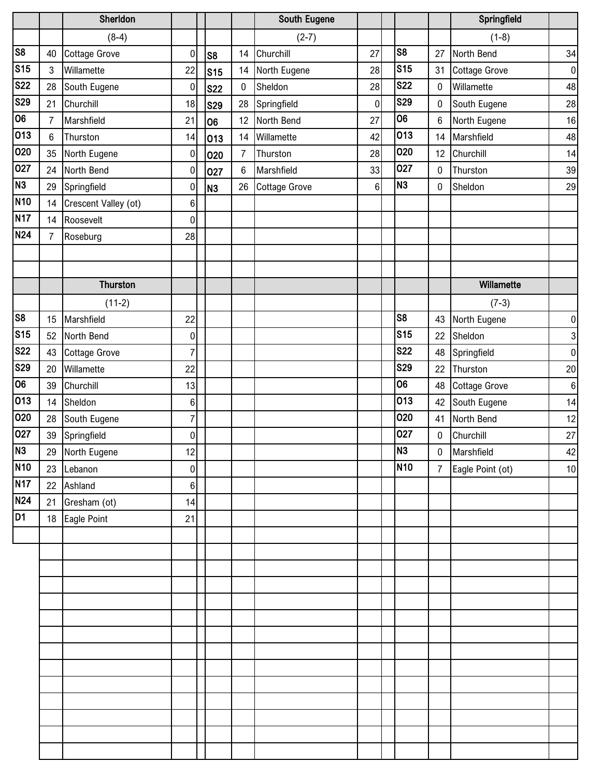|                |                | Sherldon             |                |                 |           | <b>South Eugene</b>  |    |                 |                  | Springfield          |                  |
|----------------|----------------|----------------------|----------------|-----------------|-----------|----------------------|----|-----------------|------------------|----------------------|------------------|
|                |                | $(8-4)$              |                |                 |           | $(2-7)$              |    |                 |                  | $(1-8)$              |                  |
| S <sub>8</sub> | 40             | <b>Cottage Grove</b> | $\pmb{0}$      | S <sub>8</sub>  | 14        | Churchill            | 27 | S <sub>8</sub>  | 27               | North Bend           | 34               |
| <b>S15</b>     | $\mathbf{3}$   | Willamette           | 22             | S <sub>15</sub> | 14        | North Eugene         | 28 | <b>S15</b>      | 31               | <b>Cottage Grove</b> | $\pmb{0}$        |
| <b>S22</b>     | 28             | South Eugene         | $\mathbf 0$    | <b>S22</b>      | $\pmb{0}$ | Sheldon              | 28 | <b>S22</b>      | $\pmb{0}$        | Willamette           | 48               |
| <b>S29</b>     | 21             | Churchill            | 18             | <b>S29</b>      | 28        | Springfield          | 0  | <b>S29</b>      | $\pmb{0}$        | South Eugene         | 28               |
| 06             | 7              | Marshfield           | 21             | 06              | 12        | North Bend           | 27 | 06              | $\,6$            | North Eugene         | $16\,$           |
| 013            | 6              | Thurston             | 14             | 013             | 14        | Willamette           | 42 | 013             | 14               | Marshfield           | 48               |
| 020            | 35             | North Eugene         | $\pmb{0}$      | 020             | 7         | Thurston             | 28 | 020             | 12               | Churchill            | 14               |
| 027            | 24             | North Bend           | $\pmb{0}$      | 027             | $\,6$     | Marshfield           | 33 | 027             | $\boldsymbol{0}$ | Thurston             | 39               |
| N <sub>3</sub> | 29             | Springfield          | 0              | N <sub>3</sub>  | 26        | <b>Cottage Grove</b> | 6  | N <sub>3</sub>  | $\boldsymbol{0}$ | Sheldon              | 29               |
| <b>N10</b>     | 14             | Crescent Valley (ot) | 6              |                 |           |                      |    |                 |                  |                      |                  |
| <b>N17</b>     | 14             | Roosevelt            | 0              |                 |           |                      |    |                 |                  |                      |                  |
| N24            | $\overline{7}$ | Roseburg             | 28             |                 |           |                      |    |                 |                  |                      |                  |
|                |                |                      |                |                 |           |                      |    |                 |                  |                      |                  |
|                |                |                      |                |                 |           |                      |    |                 |                  |                      |                  |
|                |                | <b>Thurston</b>      |                |                 |           |                      |    |                 |                  | Willamette           |                  |
|                |                | $(11-2)$             |                |                 |           |                      |    |                 |                  | $(7-3)$              |                  |
| S <sub>8</sub> | 15             | Marshfield           | 22             |                 |           |                      |    | S <sub>8</sub>  | 43               | North Eugene         | $\pmb{0}$        |
| <b>S15</b>     | 52             | North Bend           | $\pmb{0}$      |                 |           |                      |    | <b>S15</b>      | 22               | Sheldon              | $\mathbf{3}$     |
| <b>S22</b>     | 43             | <b>Cottage Grove</b> | $\overline{7}$ |                 |           |                      |    | <b>S22</b>      | 48               | Springfield          | $\pmb{0}$        |
| <b>S29</b>     | 20             | Willamette           | 22             |                 |           |                      |    | <b>S29</b>      | 22               | Thurston             | $20\,$           |
| 06             | 39             | Churchill            | 13             |                 |           |                      |    | 06              | 48               | <b>Cottage Grove</b> | $\boldsymbol{6}$ |
| 013            | 14             | Sheldon              | $6\phantom{1}$ |                 |           |                      |    | 013             | 42               | South Eugene         | 14               |
| 020            | 28             | South Eugene         | $\overline{7}$ |                 |           |                      |    | 020             | 41               | North Bend           | 12               |
| 027            | 39             | Springfield          | $\pmb{0}$      |                 |           |                      |    | 027             | $\boldsymbol{0}$ | Churchill            | 27               |
| N3             |                | 29 North Eugene      | 12             |                 |           |                      |    | N <sub>3</sub>  | $\pmb{0}$        | Marshfield           | 42               |
| <b>N10</b>     | 23             | Lebanon              | $\pmb{0}$      |                 |           |                      |    | N <sub>10</sub> | $\overline{7}$   | Eagle Point (ot)     | 10               |
| <b>N17</b>     |                | 22 Ashland           | $\,6$          |                 |           |                      |    |                 |                  |                      |                  |
| N24            | 21             | Gresham (ot)         | 14             |                 |           |                      |    |                 |                  |                      |                  |
| D <sub>1</sub> | 18             | Eagle Point          | 21             |                 |           |                      |    |                 |                  |                      |                  |
|                |                |                      |                |                 |           |                      |    |                 |                  |                      |                  |
|                |                |                      |                |                 |           |                      |    |                 |                  |                      |                  |
|                |                |                      |                |                 |           |                      |    |                 |                  |                      |                  |
|                |                |                      |                |                 |           |                      |    |                 |                  |                      |                  |
|                |                |                      |                |                 |           |                      |    |                 |                  |                      |                  |
|                |                |                      |                |                 |           |                      |    |                 |                  |                      |                  |
|                |                |                      |                |                 |           |                      |    |                 |                  |                      |                  |
|                |                |                      |                |                 |           |                      |    |                 |                  |                      |                  |
|                |                |                      |                |                 |           |                      |    |                 |                  |                      |                  |
|                |                |                      |                |                 |           |                      |    |                 |                  |                      |                  |
|                |                |                      |                |                 |           |                      |    |                 |                  |                      |                  |
|                |                |                      |                |                 |           |                      |    |                 |                  |                      |                  |
|                |                |                      |                |                 |           |                      |    |                 |                  |                      |                  |
|                |                |                      |                |                 |           |                      |    |                 |                  |                      |                  |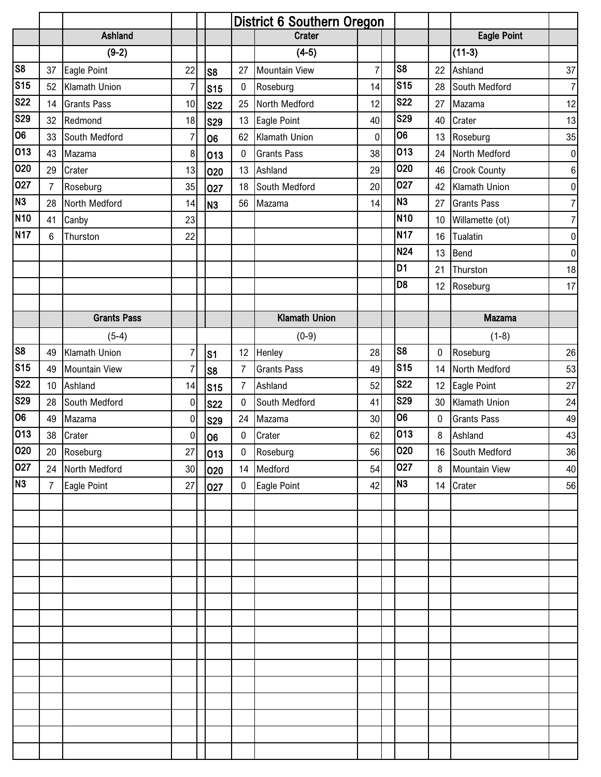|                        |                |                      |                  | <b>District 6 Southern Oregon</b> |                |                      |                |                 |    |                      |                  |
|------------------------|----------------|----------------------|------------------|-----------------------------------|----------------|----------------------|----------------|-----------------|----|----------------------|------------------|
|                        |                | Ashland              |                  |                                   |                | <b>Crater</b>        |                |                 |    | <b>Eagle Point</b>   |                  |
|                        |                | $(9-2)$              |                  |                                   |                | $(4-5)$              |                |                 |    | $(11-3)$             |                  |
| S <sub>8</sub>         | 37             | Eagle Point          | 22               | S <sub>8</sub>                    | 27             | <b>Mountain View</b> | $\overline{7}$ | S <sub>8</sub>  | 22 | Ashland              | 37               |
| S <sub>15</sub>        | 52             | Klamath Union        | 7                | <b>S15</b>                        | 0              | Roseburg             | 14             | S <sub>15</sub> | 28 | South Medford        | $\overline{7}$   |
| <b>S22</b>             | 14             | <b>Grants Pass</b>   | 10               | <b>S22</b>                        | 25             | North Medford        | 12             | <b>S22</b>      | 27 | Mazama               | 12               |
| <b>S29</b>             | 32             | Redmond              | 18               | <b>S29</b>                        | 13             | Eagle Point          | 40             | <b>S29</b>      | 40 | Crater               | 13               |
| 06                     | 33             | South Medford        | 7                | 06                                | 62             | Klamath Union        | $\mathbf 0$    | 06              | 13 | Roseburg             | 35               |
| 013                    | 43             | Mazama               | 8                | 013                               | 0              | <b>Grants Pass</b>   | 38             | 013             | 24 | North Medford        | $\pmb{0}$        |
| 020                    | 29             | Crater               | 13               | 020                               | 13             | Ashland              | 29             | 020             | 46 | <b>Crook County</b>  | $\boldsymbol{6}$ |
| 027                    | $\overline{7}$ | Roseburg             | 35               | 027                               | 18             | South Medford        | 20             | 027             | 42 | Klamath Union        | $\pmb{0}$        |
| N <sub>3</sub>         | 28             | North Medford        | 14               | N <sub>3</sub>                    | 56             | Mazama               | 14             | N <sub>3</sub>  | 27 | <b>Grants Pass</b>   | $\overline{7}$   |
| <b>N10</b>             | 41             | Canby                | 23               |                                   |                |                      |                | <b>N10</b>      | 10 | Willamette (ot)      | $\overline{7}$   |
| N <sub>17</sub>        | 6              | Thurston             | 22               |                                   |                |                      |                | <b>N17</b>      | 16 | Tualatin             | $\pmb{0}$        |
|                        |                |                      |                  |                                   |                |                      |                | <b>N24</b>      | 13 | Bend                 | $\pmb{0}$        |
|                        |                |                      |                  |                                   |                |                      |                | $\overline{D1}$ | 21 | Thurston             | 18               |
|                        |                |                      |                  |                                   |                |                      |                | D <sub>8</sub>  | 12 | Roseburg             | 17               |
|                        |                |                      |                  |                                   |                |                      |                |                 |    |                      |                  |
|                        |                | <b>Grants Pass</b>   |                  |                                   |                | <b>Klamath Union</b> |                |                 |    | Mazama               |                  |
|                        |                | $(5-4)$              |                  |                                   |                | $(0-9)$              |                |                 |    | $(1-8)$              |                  |
| $\overline{\text{S8}}$ | 49             | Klamath Union        | 7                | s <sub>1</sub>                    | 12             | Henley               | 28             | S <sub>8</sub>  | 0  | Roseburg             | 26               |
| S <sub>15</sub>        | 49             | <b>Mountain View</b> | 7                | S <sub>8</sub>                    | $\overline{7}$ | <b>Grants Pass</b>   | 49             | <b>S15</b>      | 14 | North Medford        | 53               |
| <b>S22</b>             | 10             | Ashland              | 14               | S <sub>15</sub>                   | $\overline{7}$ | Ashland              | 52             | <b>S22</b>      | 12 | Eagle Point          | 27               |
| <b>S29</b>             | 28             | South Medford        | $\mathbf 0$      | <b>S22</b>                        | $\pmb{0}$      | South Medford        | 41             | <b>S29</b>      | 30 | Klamath Union        | 24               |
| 06                     | 49             | Mazama               | 0                | <b>S29</b>                        | 24             | Mazama               | 30             | 06              | 0  | <b>Grants Pass</b>   | 49               |
| 013                    | 38             | Crater               | $\boldsymbol{0}$ | 06                                | 0              | Crater               | 62             | 013             | 8  | Ashland              | 43               |
| 020                    | 20             | Roseburg             | 27               | 013                               | $\pmb{0}$      | Roseburg             | 56             | 020             |    | 16 South Medford     | 36               |
| 027                    | 24             | North Medford        | 30               | 020                               | 14             | Medford              | 54             | 027             | 8  | <b>Mountain View</b> | 40               |
| N3                     | $\overline{7}$ | Eagle Point          | 27               | 027                               | $\mathbf 0$    | Eagle Point          | 42             | N <sub>3</sub>  | 14 | Crater               | 56               |
|                        |                |                      |                  |                                   |                |                      |                |                 |    |                      |                  |
|                        |                |                      |                  |                                   |                |                      |                |                 |    |                      |                  |
|                        |                |                      |                  |                                   |                |                      |                |                 |    |                      |                  |
|                        |                |                      |                  |                                   |                |                      |                |                 |    |                      |                  |
|                        |                |                      |                  |                                   |                |                      |                |                 |    |                      |                  |
|                        |                |                      |                  |                                   |                |                      |                |                 |    |                      |                  |
|                        |                |                      |                  |                                   |                |                      |                |                 |    |                      |                  |
|                        |                |                      |                  |                                   |                |                      |                |                 |    |                      |                  |
|                        |                |                      |                  |                                   |                |                      |                |                 |    |                      |                  |
|                        |                |                      |                  |                                   |                |                      |                |                 |    |                      |                  |
|                        |                |                      |                  |                                   |                |                      |                |                 |    |                      |                  |
|                        |                |                      |                  |                                   |                |                      |                |                 |    |                      |                  |
|                        |                |                      |                  |                                   |                |                      |                |                 |    |                      |                  |
|                        |                |                      |                  |                                   |                |                      |                |                 |    |                      |                  |
|                        |                |                      |                  |                                   |                |                      |                |                 |    |                      |                  |
|                        |                |                      |                  |                                   |                |                      |                |                 |    |                      |                  |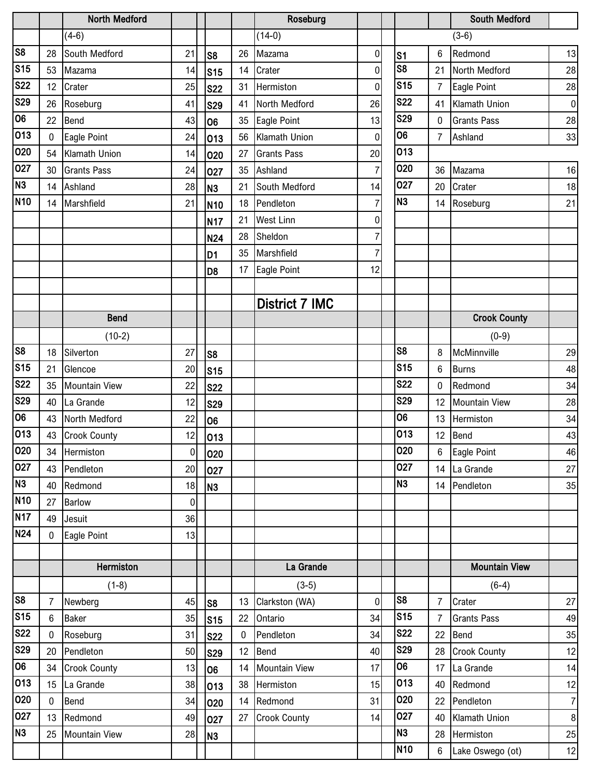|                 |                | <b>North Medford</b> |                |                 |    | Roseburg              |                |                        |                | <b>South Medford</b> |                |
|-----------------|----------------|----------------------|----------------|-----------------|----|-----------------------|----------------|------------------------|----------------|----------------------|----------------|
|                 |                | $(4-6)$              |                |                 |    | $(14-0)$              |                |                        |                | $(3-6)$              |                |
| S <sub>8</sub>  | 28             | South Medford        | 21             | S <sub>8</sub>  | 26 | Mazama                | 0              | S1                     | 6              | Redmond              | 13             |
| S <sub>15</sub> | 53             | Mazama               | 14             | S <sub>15</sub> | 14 | Crater                | 0              | $\overline{\text{S8}}$ | 21             | North Medford        | 28             |
| <b>S22</b>      | 12             | Crater               | 25             | <b>S22</b>      | 31 | Hermiston             | 0              | S <sub>15</sub>        | $\overline{7}$ | Eagle Point          | 28             |
| <b>S29</b>      | 26             | Roseburg             | 41             | <b>S29</b>      | 41 | North Medford         | 26             | <b>S22</b>             | 41             | Klamath Union        | $\overline{0}$ |
| 06              | 22             | Bend                 | 43             | 06              | 35 | Eagle Point           | 13             | <b>S29</b>             | 0              | <b>Grants Pass</b>   | 28             |
| 013             | $\mathbf 0$    | Eagle Point          | 24             | 013             | 56 | Klamath Union         | 0              | 06                     | $\overline{7}$ | Ashland              | 33             |
| 020             | 54             | <b>Klamath Union</b> | 14             | 020             | 27 | <b>Grants Pass</b>    | 20             | 013                    |                |                      |                |
| 027             | 30             | <b>Grants Pass</b>   | 24             | 027             | 35 | Ashland               | $\overline{7}$ | 020                    | 36             | Mazama               | 16             |
| N <sub>3</sub>  | 14             | Ashland              | 28             | N <sub>3</sub>  | 21 | South Medford         | 14             | 027                    | 20             | Crater               | 18             |
| N <sub>10</sub> | 14             | Marshfield           | 21             | N <sub>10</sub> | 18 | Pendleton             | $\overline{7}$ | N <sub>3</sub>         | 14             | Roseburg             | 21             |
|                 |                |                      |                | N <sub>17</sub> | 21 | <b>West Linn</b>      | 0              |                        |                |                      |                |
|                 |                |                      |                | N24             | 28 | Sheldon               | 7              |                        |                |                      |                |
|                 |                |                      |                | D <sub>1</sub>  | 35 | Marshfield            | 7              |                        |                |                      |                |
|                 |                |                      |                | D <sub>8</sub>  | 17 | Eagle Point           | 12             |                        |                |                      |                |
|                 |                |                      |                |                 |    |                       |                |                        |                |                      |                |
|                 |                |                      |                |                 |    | <b>District 7 IMC</b> |                |                        |                |                      |                |
|                 |                | <b>Bend</b>          |                |                 |    |                       |                |                        |                | <b>Crook County</b>  |                |
|                 |                | $(10-2)$             |                |                 |    |                       |                |                        |                | $(0-9)$              |                |
| S8              | 18             | Silverton            | 27             | S <sub>8</sub>  |    |                       |                | S <sub>8</sub>         | 8              | McMinnville          | 29             |
| S <sub>15</sub> | 21             | Glencoe              | 20             | S <sub>15</sub> |    |                       |                | <b>S15</b>             | 6              | <b>Burns</b>         | 48             |
| <b>S22</b>      | 35             | <b>Mountain View</b> | 22             | <b>S22</b>      |    |                       |                | <b>S22</b>             | 0              | Redmond              | 34             |
| <b>S29</b>      | 40             | La Grande            | 12             | <b>S29</b>      |    |                       |                | <b>S29</b>             | 12             | Mountain View        | 28             |
| 06              | 43             | North Medford        | 22             | 06              |    |                       |                | 06                     | 13             | Hermiston            | 34             |
| 013             | 43             | <b>Crook County</b>  | 12             | 013             |    |                       |                | 013                    | 12             | Bend                 | 43             |
| 020             | 34             | Hermiston            | $\overline{0}$ | 020             |    |                       |                | 020                    | $\,6\,$        | Eagle Point          | 46             |
| 027             | 43             | Pendleton            | 20             | 027             |    |                       |                | 027                    | 14             | La Grande            | 27             |
| N3              | 40             | Redmond              | 18             | N <sub>3</sub>  |    |                       |                | N <sub>3</sub>         | 14             | Pendleton            | 35             |
| <b>N10</b>      | 27             | <b>Barlow</b>        | $\mathbf 0$    |                 |    |                       |                |                        |                |                      |                |
| N <sub>17</sub> | 49             | Jesuit               | 36             |                 |    |                       |                |                        |                |                      |                |
| N <sub>24</sub> | $\mathbf 0$    | Eagle Point          | 13             |                 |    |                       |                |                        |                |                      |                |
|                 |                |                      |                |                 |    |                       |                |                        |                |                      |                |
|                 |                | Hermiston            |                |                 |    | La Grande             |                |                        |                | <b>Mountain View</b> |                |
|                 |                | $(1-8)$              |                |                 |    | $(3-5)$               |                |                        |                | $(6-4)$              |                |
| S8              | $\overline{7}$ | Newberg              | 45             | S <sub>8</sub>  | 13 | Clarkston (WA)        | 0              | S <sub>8</sub>         | $\overline{7}$ | Crater               | 27             |
| S <sub>15</sub> | 6              | <b>Baker</b>         | 35             | S <sub>15</sub> | 22 | Ontario               | 34             | S <sub>15</sub>        | $\overline{7}$ | <b>Grants Pass</b>   | 49             |
| <b>S22</b>      | 0              | Roseburg             | 31             | <b>S22</b>      | 0  | Pendleton             | 34             | <b>S22</b>             | 22             | Bend                 | 35             |
| <b>S29</b>      | 20             | Pendleton            | 50             | <b>S29</b>      | 12 | Bend                  | 40             | <b>S29</b>             | 28             | <b>Crook County</b>  | 12             |
| 06              | 34             | <b>Crook County</b>  | 13             | 06              | 14 | <b>Mountain View</b>  | 17             | 06                     | 17             | La Grande            | 14             |
| 013             | 15             | La Grande            | 38             | 013             | 38 | Hermiston             | 15             | 013                    | 40             | Redmond              | 12             |
| 020             | $\mathbf 0$    | Bend                 | 34             | 020             | 14 | Redmond               | 31             | 020                    | 22             | Pendleton            | 7              |
| 027             | 13             | Redmond              | 49             | 027             | 27 | <b>Crook County</b>   | 14             | 027                    | 40             | Klamath Union        | 8 <sup>1</sup> |
| N <sub>3</sub>  | 25             | <b>Mountain View</b> | 28             | N <sub>3</sub>  |    |                       |                | N <sub>3</sub>         | 28             | Hermiston            | 25             |
|                 |                |                      |                |                 |    |                       |                | N <sub>10</sub>        | 6              | Lake Oswego (ot)     | 12             |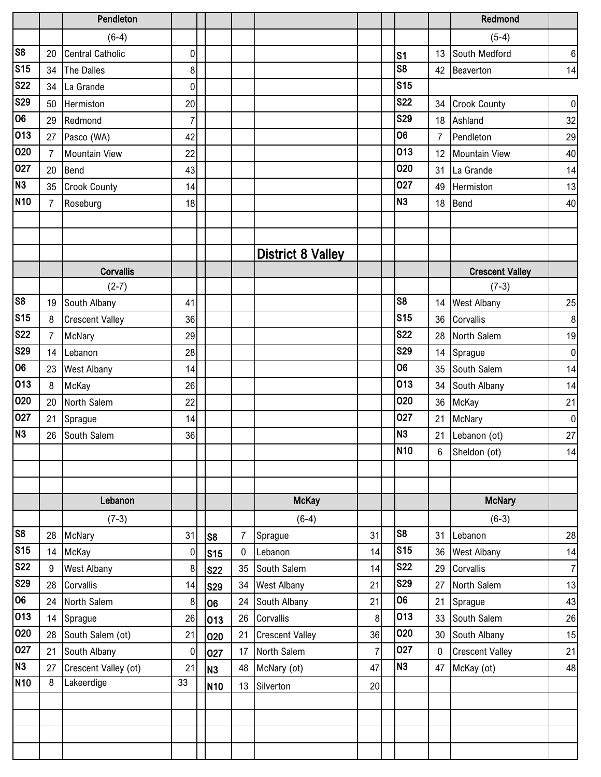|                         |                | Pendleton               |                |                 |                |                          |                |                 |                | Redmond                |                |
|-------------------------|----------------|-------------------------|----------------|-----------------|----------------|--------------------------|----------------|-----------------|----------------|------------------------|----------------|
|                         |                | $(6-4)$                 |                |                 |                |                          |                |                 |                | $(5-4)$                |                |
| s <sub>8</sub>          | 20             | <b>Central Catholic</b> | $\mathbf 0$    |                 |                |                          |                | S <sub>1</sub>  | 13             | South Medford          | $\,6\,$        |
| S <sub>15</sub>         | 34             | The Dalles              | 8              |                 |                |                          |                | S <sub>8</sub>  | 42             | Beaverton              | 14             |
| <b>S22</b>              | 34             | La Grande               | $\mathbf 0$    |                 |                |                          |                | <b>S15</b>      |                |                        |                |
| S <sub>29</sub>         | 50             | Hermiston               | 20             |                 |                |                          |                | <b>S22</b>      | 34             | <b>Crook County</b>    | $\overline{0}$ |
| $\overline{00}$         | 29             | Redmond                 | $\overline{7}$ |                 |                |                          |                | <b>S29</b>      | 18             | Ashland                | 32             |
| 013                     | 27             | Pasco (WA)              | 42             |                 |                |                          |                | 06              | $\overline{7}$ | Pendleton              | 29             |
| 020                     | $\overline{7}$ | <b>Mountain View</b>    | 22             |                 |                |                          |                | 013             | 12             | <b>Mountain View</b>   | 40             |
| 027                     | 20             | Bend                    | 43             |                 |                |                          |                | 020             | 31             | La Grande              | 14             |
| N3                      | 35             | <b>Crook County</b>     | 14             |                 |                |                          |                | 027             | 49             | Hermiston              | 13             |
| N <sub>10</sub>         | $\overline{7}$ | Roseburg                | 18             |                 |                |                          |                | N <sub>3</sub>  | 18             | Bend                   | 40             |
|                         |                |                         |                |                 |                |                          |                |                 |                |                        |                |
|                         |                |                         |                |                 |                |                          |                |                 |                |                        |                |
|                         |                |                         |                |                 |                | <b>District 8 Valley</b> |                |                 |                |                        |                |
|                         |                | <b>Corvallis</b>        |                |                 |                |                          |                |                 |                | <b>Crescent Valley</b> |                |
|                         |                | $(2-7)$                 |                |                 |                |                          |                |                 |                | $(7-3)$                |                |
| $\overline{\text{S8}}$  | 19             | South Albany            | 41             |                 |                |                          |                | S <sub>8</sub>  | 14             | <b>West Albany</b>     | 25             |
| S <sub>15</sub>         | 8              | <b>Crescent Valley</b>  | 36             |                 |                |                          |                | S <sub>15</sub> | 36             | Corvallis              | 8              |
| <b>S22</b>              | $\overline{7}$ | McNary                  | 29             |                 |                |                          |                | <b>S22</b>      | 28             | North Salem            | 19             |
| <b>S29</b>              | 14             | Lebanon                 | 28             |                 |                |                          |                | <b>S29</b>      | 14             | Sprague                | $\overline{0}$ |
| 06                      | 23             | <b>West Albany</b>      | 14             |                 |                |                          |                | 06              | 35             | South Salem            | 14             |
| 013                     | 8              | McKay                   | 26             |                 |                |                          |                | 013             | 34             | South Albany           | 14             |
| 020                     | 20             | North Salem             | 22             |                 |                |                          |                | 020             | 36             | McKay                  | 21             |
| 027                     | 21             | Sprague                 | 14             |                 |                |                          |                | 027             | 21             | McNary                 | $\pmb{0}$      |
| $\overline{M}$          | 26             | South Salem             | 36             |                 |                |                          |                | <b>N3</b>       | 21             | Lebanon (ot)           | 27             |
|                         |                |                         |                |                 |                |                          |                | <b>N10</b>      | 6              | Sheldon (ot)           | 14             |
|                         |                |                         |                |                 |                |                          |                |                 |                |                        |                |
|                         |                |                         |                |                 |                |                          |                |                 |                |                        |                |
|                         |                | Lebanon                 |                |                 |                | <b>McKay</b>             |                |                 |                | <b>McNary</b>          |                |
|                         |                | $(7-3)$                 |                |                 |                | $(6-4)$                  |                |                 |                | $(6-3)$                |                |
| S <sub>8</sub>          | 28             | McNary                  | 31             | S8              | $\overline{7}$ | Sprague                  | 31             | S <sub>8</sub>  | 31             | Lebanon                | 28             |
| S <sub>15</sub>         | 14             | McKay                   | 0              | S <sub>15</sub> | $\pmb{0}$      | Lebanon                  | 14             | S <sub>15</sub> | 36             | West Albany            | 14             |
| <b>S22</b>              | 9              | West Albany             | 8              | <b>S22</b>      | 35             | South Salem              | 14             | <b>S22</b>      | 29             | Corvallis              | 7              |
| $\overline{\text{S}29}$ | 28             | Corvallis               | 14             | <b>S29</b>      | 34             | <b>West Albany</b>       | 21             | <b>S29</b>      | 27             | North Salem            | 13             |
| 06                      | 24             | North Salem             | 8              | lo6             | 24             | South Albany             | 21             | $\overline{06}$ | 21             | Sprague                | 43             |
| 013                     | 14             | Sprague                 | 26             | 013             | 26             | Corvallis                | 8              | 013             | 33             | South Salem            | 26             |
| 020                     | 28             | South Salem (ot)        | 21             | 020             | 21             | <b>Crescent Valley</b>   | 36             | 020             | 30             | South Albany           | 15             |
| 027                     | 21             | South Albany            | $\bf{0}$       | 027             | 17             | North Salem              | $\overline{7}$ | 027             | 0              | <b>Crescent Valley</b> | 21             |
| N3                      | 27             | Crescent Valley (ot)    | 21             | N <sub>3</sub>  | 48             | McNary (ot)              | 47             | N <sub>3</sub>  | 47             | McKay (ot)             | 48             |
| <b>N10</b>              | 8              | Lakeerdige              | 33             | N <sub>10</sub> | 13             | Silverton                | 20             |                 |                |                        |                |
|                         |                |                         |                |                 |                |                          |                |                 |                |                        |                |
|                         |                |                         |                |                 |                |                          |                |                 |                |                        |                |
|                         |                |                         |                |                 |                |                          |                |                 |                |                        |                |
|                         |                |                         |                |                 |                |                          |                |                 |                |                        |                |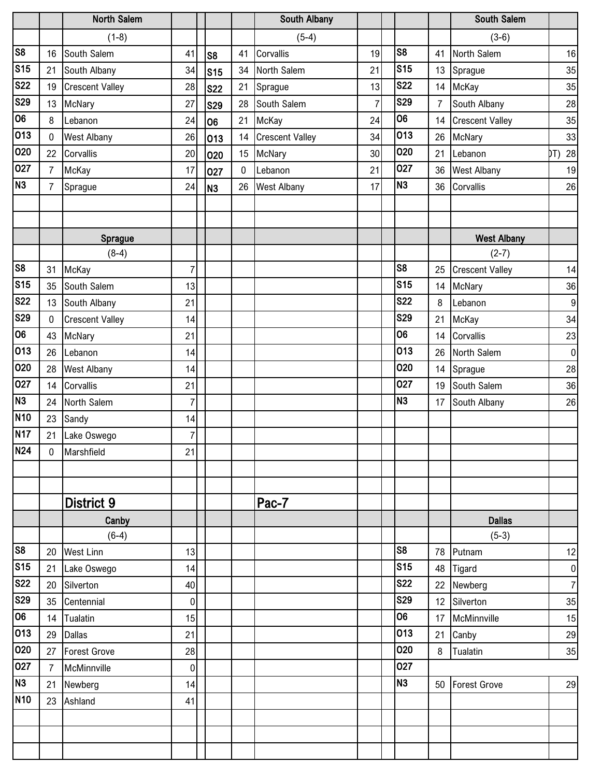|                         |                | North Salem            |                |                 |           | South Albany           |    |                 |                | South Salem            |                |
|-------------------------|----------------|------------------------|----------------|-----------------|-----------|------------------------|----|-----------------|----------------|------------------------|----------------|
|                         |                | $(1-8)$                |                |                 |           | $(5-4)$                |    |                 |                | $(3-6)$                |                |
| $\overline{\text{S8}}$  | 16             | South Salem            | 41             | S8              | 41        | Corvallis              | 19 | S <sub>8</sub>  | 41             | North Salem            | 16             |
| s <sub>15</sub>         | 21             | South Albany           | 34             | s <sub>15</sub> | 34        | North Salem            | 21 | <b>S15</b>      | 13             | Sprague                | 35             |
| <b>S22</b>              | 19             | <b>Crescent Valley</b> | 28             | <b>S22</b>      | 21        | Sprague                | 13 | <b>S22</b>      | 14             | McKay                  | 35             |
| S <sub>29</sub>         | 13             | McNary                 | 27             | <b>S29</b>      | 28        | South Salem            | 7  | <b>S29</b>      | $\overline{7}$ | South Albany           | 28             |
| 06                      | 8              | Lebanon                | 24             | 106             | 21        | McKay                  | 24 | 06              | 14             | <b>Crescent Valley</b> | 35             |
| $\overline{013}$        | $\mathbf 0$    | <b>West Albany</b>     | 26             | 013             | 14        | <b>Crescent Valley</b> | 34 | 013             | 26             | McNary                 | 33             |
| 020                     | 22             | Corvallis              | 20             | 020             | 15        | McNary                 | 30 | 020             | 21             | Lebanon                | DT) 28         |
| 027                     | $\overline{7}$ | McKay                  | 17             | 027             | $\pmb{0}$ | Lebanon                | 21 | 027             | 36             | <b>West Albany</b>     | 19             |
| N3                      | $\overline{7}$ | Sprague                | 24             | N <sub>3</sub>  | 26        | <b>West Albany</b>     | 17 | N <sub>3</sub>  | 36             | Corvallis              | 26             |
|                         |                |                        |                |                 |           |                        |    |                 |                |                        |                |
|                         |                |                        |                |                 |           |                        |    |                 |                |                        |                |
|                         |                | Sprague                |                |                 |           |                        |    |                 |                | <b>West Albany</b>     |                |
|                         |                | $(8-4)$                |                |                 |           |                        |    |                 |                | $(2-7)$                |                |
| s <sub>8</sub>          | 31             | McKay                  | $\overline{7}$ |                 |           |                        |    | S <sub>8</sub>  | 25             | <b>Crescent Valley</b> | 14             |
| $\overline{\text{S}15}$ | 35             | South Salem            | 13             |                 |           |                        |    | S <sub>15</sub> | 14             | McNary                 | 36             |
| <b>S22</b>              | 13             | South Albany           | 21             |                 |           |                        |    | <b>S22</b>      | 8              | Lebanon                | 9              |
| <b>S29</b>              | $\mathbf 0$    | <b>Crescent Valley</b> | 14             |                 |           |                        |    | <b>S29</b>      | 21             | McKay                  | 34             |
| 06                      | 43             | McNary                 | 21             |                 |           |                        |    | 06              | 14             | Corvallis              | 23             |
| 013                     | 26             | Lebanon                | 14             |                 |           |                        |    | 013             | 26             | North Salem            | 0              |
| 020                     | 28             | West Albany            | 14             |                 |           |                        |    | 020             | 14             | Sprague                | 28             |
| 027                     | 14             | Corvallis              | 21             |                 |           |                        |    | 027             | 19             | South Salem            | 36             |
| N3                      | 24             | North Salem            | $\overline{7}$ |                 |           |                        |    | N <sub>3</sub>  | 17             | South Albany           | 26             |
| <b>N10</b>              | 23             | Sandy                  | 14             |                 |           |                        |    |                 |                |                        |                |
| <b>N17</b>              | 21             | Lake Oswego            | $\overline{7}$ |                 |           |                        |    |                 |                |                        |                |
| $\overline{N24}$        | 0              | Marshfield             | 21             |                 |           |                        |    |                 |                |                        |                |
|                         |                |                        |                |                 |           |                        |    |                 |                |                        |                |
|                         |                |                        |                |                 |           |                        |    |                 |                |                        |                |
|                         |                | District 9             |                |                 |           | Pac-7                  |    |                 |                |                        |                |
|                         |                | Canby                  |                |                 |           |                        |    |                 |                | <b>Dallas</b>          |                |
|                         |                | $(6-4)$                |                |                 |           |                        |    |                 |                | $(5-3)$                |                |
| s <sub>8</sub>          | 20             | <b>West Linn</b>       | 13             |                 |           |                        |    | S <sub>8</sub>  | 78             | Putnam                 | 12             |
| S <sub>15</sub>         | 21             | Lake Oswego            | 14             |                 |           |                        |    | S <sub>15</sub> | 48             | Tigard                 | $\overline{0}$ |
| <b>S22</b>              | 20             | Silverton              | 40             |                 |           |                        |    | <b>S22</b>      | 22             | Newberg                | $\overline{7}$ |
| S <sub>29</sub>         | 35             | Centennial             | $\pmb{0}$      |                 |           |                        |    | <b>S29</b>      | 12             | Silverton              | 35             |
| 06                      | 14             | Tualatin               | 15             |                 |           |                        |    | 06              | 17             | McMinnville            | 15             |
| 013                     | 29             | <b>Dallas</b>          | 21             |                 |           |                        |    | 013             | 21             | Canby                  | $29\,$         |
| 020                     | 27             | Forest Grove           | 28             |                 |           |                        |    | 020             | 8              | Tualatin               | 35             |
| 027                     | $\overline{7}$ | McMinnville            | $\pmb{0}$      |                 |           |                        |    | 027             |                |                        |                |
| N3                      | 21             | Newberg                | 14             |                 |           |                        |    | N <sub>3</sub>  | 50             | <b>Forest Grove</b>    | 29             |
| N10                     | 23             | Ashland                | 41             |                 |           |                        |    |                 |                |                        |                |
|                         |                |                        |                |                 |           |                        |    |                 |                |                        |                |
|                         |                |                        |                |                 |           |                        |    |                 |                |                        |                |
|                         |                |                        |                |                 |           |                        |    |                 |                |                        |                |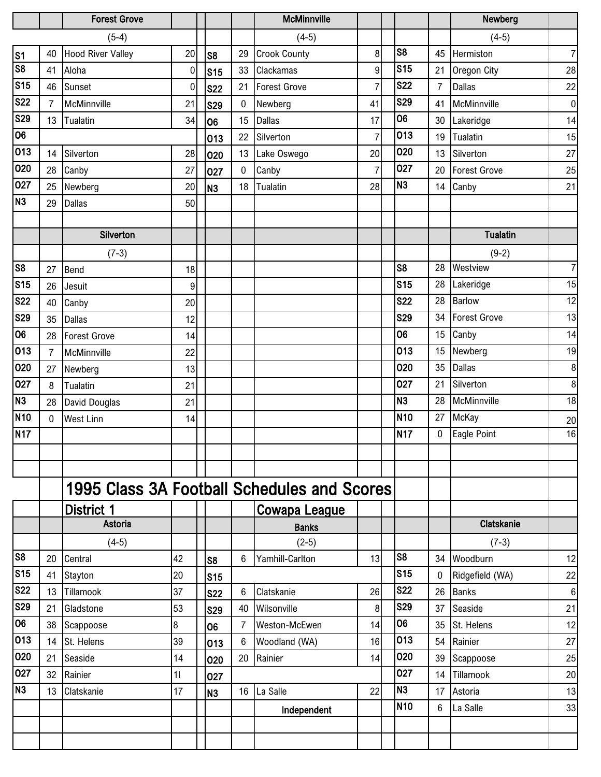|                        |                | <b>Forest Grove</b>                         |             |                 |                | <b>McMinnville</b>   |                |                 |                | Newberg             |                  |
|------------------------|----------------|---------------------------------------------|-------------|-----------------|----------------|----------------------|----------------|-----------------|----------------|---------------------|------------------|
|                        |                | $(5-4)$                                     |             |                 |                | $(4-5)$              |                |                 |                | $(4-5)$             |                  |
|                        | 40             | <b>Hood River Valley</b>                    | 20          | S8              | 29             | <b>Crook County</b>  | 8              | S <sub>8</sub>  | 45             | Hermiston           | $\overline{7}$   |
| $\frac{$1}{88}$        | 41             | Aloha                                       | $\mathbf 0$ | S <sub>15</sub> | 33             | Clackamas            | 9              | S <sub>15</sub> | 21             | Oregon City         | 28               |
| S <sub>15</sub>        | 46             | Sunset                                      | 0           | <b>S22</b>      | 21             | Forest Grove         | $\overline{7}$ | <b>S22</b>      | $\overline{7}$ | <b>Dallas</b>       | 22               |
| <b>S22</b>             | $\overline{7}$ | McMinnville                                 | 21          | <b>S29</b>      | 0              | Newberg              | 41             | <b>S29</b>      | 41             | McMinnville         | 0                |
| <b>S29</b>             | 13             | Tualatin                                    | 34          | 06              | 15             | <b>Dallas</b>        | 17             | $\overline{06}$ | 30             | Lakeridge           | 14               |
| 06                     |                |                                             |             | 013             | 22             | Silverton            | $\overline{7}$ | 013             | 19             | Tualatin            | 15               |
| 013                    | 14             | Silverton                                   | 28          | 020             | 13             | Lake Oswego          | 20             | 020             | 13             | Silverton           | 27               |
| 020                    | 28             | Canby                                       | 27          | 027             | $\pmb{0}$      | Canby                | $\overline{7}$ | 027             | 20             | <b>Forest Grove</b> | 25               |
| 027                    | 25             | Newberg                                     | 20          | N <sub>3</sub>  | 18             | Tualatin             | 28             | N <sub>3</sub>  | 14             | Canby               | 21               |
| N <sub>3</sub>         | 29             | <b>Dallas</b>                               | 50          |                 |                |                      |                |                 |                |                     |                  |
|                        |                |                                             |             |                 |                |                      |                |                 |                |                     |                  |
|                        |                | Silverton                                   |             |                 |                |                      |                |                 |                | <b>Tualatin</b>     |                  |
|                        |                | $(7-3)$                                     |             |                 |                |                      |                |                 |                | $(9-2)$             |                  |
| S <sub>8</sub>         | 27             | Bend                                        | 18          |                 |                |                      |                | S <sub>8</sub>  | 28             | Westview            | $\overline{7}$   |
| S <sub>15</sub>        | 26             | Jesuit                                      | 9           |                 |                |                      |                | <b>S15</b>      | 28             | Lakeridge           | 15               |
| <b>S22</b>             | 40             | Canby                                       | 20          |                 |                |                      |                | <b>S22</b>      | 28             | <b>Barlow</b>       | 12               |
| <b>S29</b>             | 35             | <b>Dallas</b>                               | 12          |                 |                |                      |                | <b>S29</b>      | 34             | <b>Forest Grove</b> | 13               |
| 06                     | 28             | <b>Forest Grove</b>                         | 14          |                 |                |                      |                | 06              | 15             | Canby               | 14               |
| 013                    | $\overline{7}$ | McMinnville                                 | 22          |                 |                |                      |                | 013             | 15             | Newberg             | 19               |
| 020                    | 27             | Newberg                                     | 13          |                 |                |                      |                | 020             | 35             | Dallas              | $\boldsymbol{8}$ |
| 027                    | 8              | Tualatin                                    | 21          |                 |                |                      |                | 027             | 21             | Silverton           | $\bf 8$          |
| N <sub>3</sub>         | 28             | David Douglas                               | 21          |                 |                |                      |                | N <sub>3</sub>  | 28             | McMinnville         | 18               |
| N <sub>10</sub>        | 0              | <b>West Linn</b>                            | 14          |                 |                |                      |                | N <sub>10</sub> | 27             | McKay               | 20               |
| N <sub>17</sub>        |                |                                             |             |                 |                |                      |                | N <sub>17</sub> | 0              | Eagle Point         | 16               |
|                        |                |                                             |             |                 |                |                      |                |                 |                |                     |                  |
|                        |                |                                             |             |                 |                |                      |                |                 |                |                     |                  |
|                        |                | 1995 Class 3A Football Schedules and Scores |             |                 |                |                      |                |                 |                |                     |                  |
|                        |                | <b>District 1</b>                           |             |                 |                | <b>Cowapa League</b> |                |                 |                |                     |                  |
|                        |                | Astoria                                     |             |                 |                | <b>Banks</b>         |                |                 |                | <b>Clatskanie</b>   |                  |
|                        |                | $(4-5)$                                     |             |                 |                | $(2-5)$              |                |                 |                | $(7-3)$             |                  |
| $\overline{\text{S8}}$ | 20             | Central                                     | 42          | S <sub>8</sub>  | 6              | Yamhill-Carlton      | 13             | S <sub>8</sub>  | 34             | Woodburn            | 12               |
| S <sub>15</sub>        | 41             | Stayton                                     | 20          | <b>S15</b>      |                |                      |                | <b>S15</b>      | 0              | Ridgefield (WA)     | 22               |
| <b>S22</b>             | 13             | Tillamook                                   | 37          | <b>S22</b>      | $6\phantom{1}$ | Clatskanie           | 26             | <b>S22</b>      | 26             | <b>Banks</b>        | $\bf 6$          |
| <b>S29</b>             | 21             | Gladstone                                   | 53          | <b>S29</b>      | 40             | Wilsonville          | 8              | <b>S29</b>      | 37             | Seaside             | 21               |
| 06                     | 38             | Scappoose                                   | 8           | 06              | $\overline{7}$ | Weston-McEwen        | 14             | 06              | 35             | St. Helens          | 12               |
| 013                    | 14             | St. Helens                                  | 39          | 013             | 6              | Woodland (WA)        | 16             | 013             | 54             | Rainier             | 27               |
| 020                    | 21             | Seaside                                     | 14          | 020             | 20             | Rainier              | 14             | 020             | 39             | Scappoose           | 25               |
| 027                    | 32             | Rainier                                     | 11          | 027             |                |                      |                | 027             | 14             | Tillamook           | 20               |
| N <sub>3</sub>         | 13             | Clatskanie                                  | 17          | N <sub>3</sub>  | 16             | La Salle             | 22             | N <sub>3</sub>  | 17             | Astoria             | 13               |
|                        |                |                                             |             |                 |                | Independent          |                | N <sub>10</sub> | 6              | La Salle            | 33               |
|                        |                |                                             |             |                 |                |                      |                |                 |                |                     |                  |
|                        |                |                                             |             |                 |                |                      |                |                 |                |                     |                  |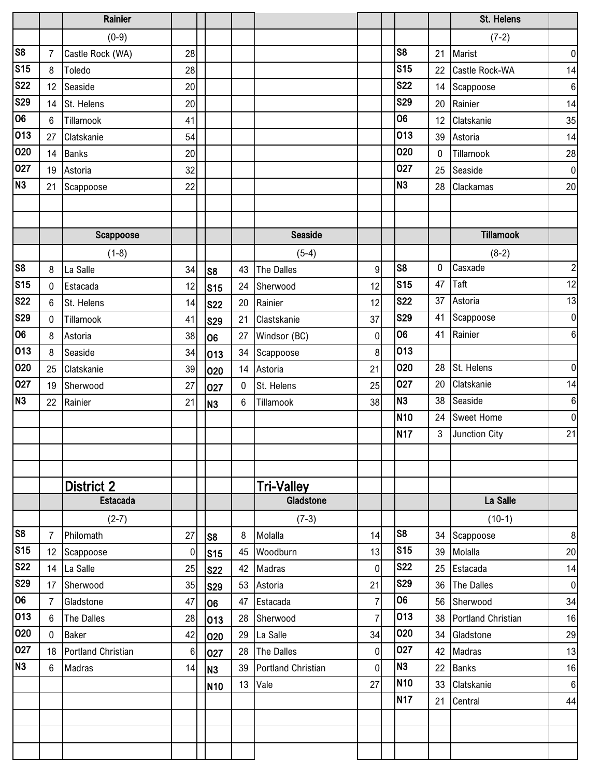|                         |                | Rainier                   |    |                 |                |                    |                |                 |          | St. Helens         |                  |
|-------------------------|----------------|---------------------------|----|-----------------|----------------|--------------------|----------------|-----------------|----------|--------------------|------------------|
|                         |                | $(0-9)$                   |    |                 |                |                    |                |                 |          | $(7-2)$            |                  |
| $\overline{\text{S8}}$  | $\overline{7}$ | Castle Rock (WA)          | 28 |                 |                |                    |                | S <sub>8</sub>  | 21       | Marist             | $\overline{0}$   |
| S <sub>15</sub>         | 8              | Toledo                    | 28 |                 |                |                    |                | <b>S15</b>      | 22       | Castle Rock-WA     | 14               |
| <b>S22</b>              | 12             | Seaside                   | 20 |                 |                |                    |                | <b>S22</b>      | 14       | Scappoose          | $6 \mid$         |
| S <sub>29</sub>         | 14             | St. Helens                | 20 |                 |                |                    |                | <b>S29</b>      | 20       | Rainier            | 14               |
| 06                      | 6              | Tillamook                 | 41 |                 |                |                    |                | 06              | 12       | Clatskanie         | 35               |
| 013                     | 27             | Clatskanie                | 54 |                 |                |                    |                | 013             | 39       | Astoria            | 14               |
| 020                     | 14             | <b>Banks</b>              | 20 |                 |                |                    |                | 020             | $\bf{0}$ | Tillamook          | 28               |
| 027                     | 19             | Astoria                   | 32 |                 |                |                    |                | 027             | 25       | Seaside            | $\overline{0}$   |
| N3                      | 21             | Scappoose                 | 22 |                 |                |                    |                | N <sub>3</sub>  | 28       | Clackamas          | 20               |
|                         |                |                           |    |                 |                |                    |                |                 |          |                    |                  |
|                         |                |                           |    |                 |                |                    |                |                 |          |                    |                  |
|                         |                | Scappoose                 |    |                 |                | Seaside            |                |                 |          | <b>Tillamook</b>   |                  |
|                         |                | $(1-8)$                   |    |                 |                | $(5-4)$            |                |                 |          | $(8-2)$            |                  |
| s <sub>8</sub>          | 8              | La Salle                  | 34 | S8              | 43             | <b>The Dalles</b>  | 9              | S <sub>8</sub>  | 0        | Casxade            | $\mathbf{2}$     |
| S <sub>15</sub>         | $\mathbf 0$    | Estacada                  | 12 | S <sub>15</sub> | 24             | Sherwood           | 12             | S <sub>15</sub> | 47       | Taft               | 12               |
| $\overline{\text{S22}}$ | 6              | St. Helens                | 14 | <b>S22</b>      | 20             | Rainier            | 12             | <b>S22</b>      | 37       | Astoria            | 13               |
| S29                     | $\mathbf 0$    | Tillamook                 | 41 | <b>S29</b>      | 21             | Clastskanie        | 37             | <b>S29</b>      | 41       | Scappoose          | $\overline{0}$   |
| 06                      | 8              | Astoria                   | 38 | l06             | 27             | Windsor (BC)       | $\pmb{0}$      | 06              | 41       | Rainier            | $6 \overline{6}$ |
| 013                     | 8              | Seaside                   | 34 | 013             | 34             | Scappoose          | 8              | 013             |          |                    |                  |
| 020                     | 25             | Clatskanie                | 39 | 020             | 14             | Astoria            | 21             | 020             | 28       | St. Helens         | $\overline{0}$   |
| 027                     | 19             | Sherwood                  | 27 | 027             | 0              | St. Helens         | 25             | 027             | 20       | Clatskanie         | 14               |
| N <sub>3</sub>          | 22             | Rainier                   | 21 | N <sub>3</sub>  | $6\phantom{1}$ | Tillamook          | 38             | N <sub>3</sub>  | 38       | Seaside            | $6 \overline{6}$ |
|                         |                |                           |    |                 |                |                    |                | N <sub>10</sub> | 24       | <b>Sweet Home</b>  | $\overline{0}$   |
|                         |                |                           |    |                 |                |                    |                | <b>N17</b>      | 3        | Junction City      | 21               |
|                         |                |                           |    |                 |                |                    |                |                 |          |                    |                  |
|                         |                |                           |    |                 |                |                    |                |                 |          |                    |                  |
|                         |                | <b>District 2</b>         |    |                 |                | Tri-Valley         |                |                 |          |                    |                  |
|                         |                | <b>Estacada</b>           |    |                 |                | Gladstone          |                |                 |          | La Salle           |                  |
|                         |                | $(2-7)$                   |    |                 |                | $(7-3)$            |                |                 |          | $(10-1)$           |                  |
| $\overline{\text{S8}}$  | $\overline{7}$ | Philomath                 | 27 | S8              | 8              | Molalla            | 14             | S <sub>8</sub>  | 34       | Scappoose          | 8                |
| S <sub>15</sub>         | 12             | Scappoose                 | 0  | S <sub>15</sub> | 45             | Woodburn           | 13             | S <sub>15</sub> | 39       | Molalla            | 20               |
| <b>S22</b>              | 14             | La Salle                  | 25 | <b>S22</b>      | 42             | Madras             | $\pmb{0}$      | <b>S22</b>      | 25       | Estacada           | 14               |
| S29                     | 17             | Sherwood                  | 35 | <b>S29</b>      | 53             | Astoria            | 21             | <b>S29</b>      | 36       | The Dalles         | $\overline{0}$   |
| 06                      | $\overline{7}$ | Gladstone                 | 47 | 06              | 47             | Estacada           | $\overline{7}$ | 06              | 56       | Sherwood           | 34               |
| 013                     | $6\,$          | The Dalles                | 28 | 013             | 28             | Sherwood           | 7              | 013             | 38       | Portland Christian | 16               |
| 020                     | $\mathbf 0$    | Baker                     | 42 | 020             | 29             | La Salle           | 34             | 020             | 34       | Gladstone          | 29               |
| 027                     | 18             | <b>Portland Christian</b> | 6  | 027             | 28             | The Dalles         | $\pmb{0}$      | 027             | 42       | Madras             | 13               |
| N <sub>3</sub>          | 6              | Madras                    | 14 | N <sub>3</sub>  | 39             | Portland Christian | 0              | N <sub>3</sub>  | 22       | <b>Banks</b>       | 16               |
|                         |                |                           |    | N <sub>10</sub> | 13             | Vale               | 27             | N <sub>10</sub> | 33       | Clatskanie         | $\boldsymbol{6}$ |
|                         |                |                           |    |                 |                |                    |                | N <sub>17</sub> | 21       | Central            | 44               |
|                         |                |                           |    |                 |                |                    |                |                 |          |                    |                  |
|                         |                |                           |    |                 |                |                    |                |                 |          |                    |                  |
|                         |                |                           |    |                 |                |                    |                |                 |          |                    |                  |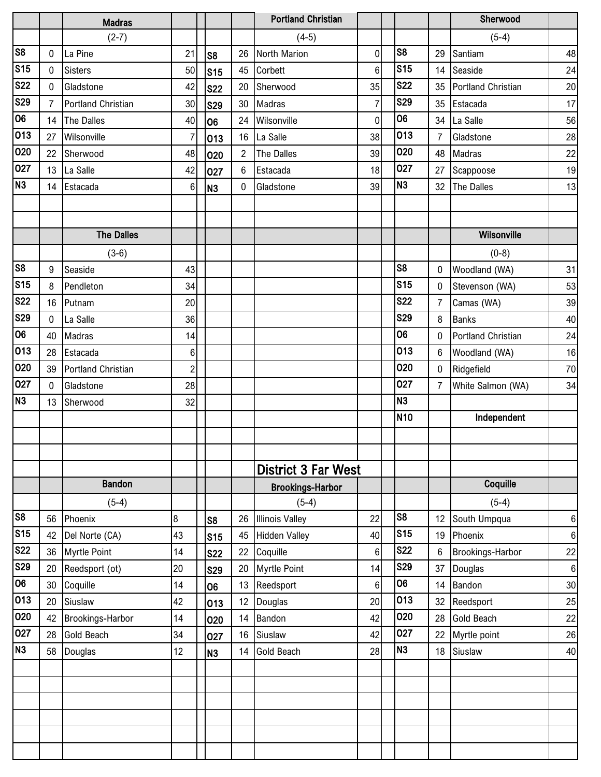|                 |                | <b>Madras</b>       |                  |                 |                | <b>Portland Christian</b>  |                |                 |                | Sherwood                  |         |
|-----------------|----------------|---------------------|------------------|-----------------|----------------|----------------------------|----------------|-----------------|----------------|---------------------------|---------|
|                 |                | $(2-7)$             |                  |                 |                | $(4-5)$                    |                |                 |                | $(5-4)$                   |         |
| S <sub>8</sub>  | 0              | La Pine             | 21               | S <sub>8</sub>  | 26             | <b>North Marion</b>        | 0              | S <sub>8</sub>  | 29             | Santiam                   | 48      |
| S <sub>15</sub> | $\mathbf 0$    | <b>Sisters</b>      | 50               | S <sub>15</sub> | 45             | Corbett                    | 6              | S <sub>15</sub> | 14             | Seaside                   | 24      |
| <b>S22</b>      | $\mathbf 0$    | Gladstone           | 42               | <b>S22</b>      | 20             | Sherwood                   | 35             | <b>S22</b>      | 35             | <b>Portland Christian</b> | 20      |
| <b>S29</b>      | $\overline{7}$ | Portland Christian  | 30               | <b>S29</b>      | 30             | Madras                     | $\overline{7}$ | <b>S29</b>      | 35             | Estacada                  | 17      |
| 06              | 14             | The Dalles          | 40               | 06              | 24             | Wilsonville                | 0              | 06              | 34             | La Salle                  | 56      |
| 013             | 27             | Wilsonville         | $\overline{7}$   | 013             | 16             | La Salle                   | 38             | 013             | $\overline{7}$ | Gladstone                 | 28      |
| 020             | 22             | Sherwood            | 48               | 020             | $\overline{c}$ | The Dalles                 | 39             | 020             | 48             | Madras                    | 22      |
| 027             | 13             | La Salle            | 42               | 027             | 6              | Estacada                   | 18             | 027             | 27             | Scappoose                 | 19      |
| N <sub>3</sub>  | 14             | Estacada            | 6 <sup>1</sup>   | N <sub>3</sub>  | 0              | Gladstone                  | 39             | N <sub>3</sub>  | 32             | The Dalles                | 13      |
|                 |                |                     |                  |                 |                |                            |                |                 |                |                           |         |
|                 |                |                     |                  |                 |                |                            |                |                 |                |                           |         |
|                 |                | <b>The Dalles</b>   |                  |                 |                |                            |                |                 |                | Wilsonville               |         |
|                 |                | $(3-6)$             |                  |                 |                |                            |                |                 |                | $(0-8)$                   |         |
| S8              | 9              | Seaside             | 43               |                 |                |                            |                | S <sub>8</sub>  | 0              | Woodland (WA)             | 31      |
| S <sub>15</sub> | 8              | Pendleton           | 34               |                 |                |                            |                | S <sub>15</sub> | 0              | Stevenson (WA)            | 53      |
| <b>S22</b>      | 16             | Putnam              | 20               |                 |                |                            |                | <b>S22</b>      | $\overline{7}$ | Camas (WA)                | 39      |
| <b>S29</b>      | $\mathbf 0$    | La Salle            | 36               |                 |                |                            |                | <b>S29</b>      | 8              | <b>Banks</b>              | 40      |
| 06              | 40             | <b>Madras</b>       | 14               |                 |                |                            |                | 06              | 0              | <b>Portland Christian</b> | 24      |
| 013             | 28             | Estacada            | $6 \overline{6}$ |                 |                |                            |                | 013             | 6              | Woodland (WA)             | 16      |
| 020             | 39             | Portland Christian  | $\overline{2}$   |                 |                |                            |                | 020             | 0              | Ridgefield                | 70      |
| 027             | 0              | Gladstone           | 28               |                 |                |                            |                | 027             | $\overline{7}$ | White Salmon (WA)         | 34      |
| N <sub>3</sub>  | 13             | Sherwood            | 32               |                 |                |                            |                | N <sub>3</sub>  |                |                           |         |
|                 |                |                     |                  |                 |                |                            |                | N <sub>10</sub> |                | Independent               |         |
|                 |                |                     |                  |                 |                |                            |                |                 |                |                           |         |
|                 |                |                     |                  |                 |                |                            |                |                 |                |                           |         |
|                 |                |                     |                  |                 |                | <b>District 3 Far West</b> |                |                 |                |                           |         |
|                 |                | <b>Bandon</b>       |                  |                 |                | <b>Brookings-Harbor</b>    |                |                 |                | Coquille                  |         |
|                 |                | $(5-4)$             |                  |                 |                | $(5-4)$                    |                |                 |                | $(5-4)$                   |         |
| S <sub>8</sub>  | 56             | Phoenix             | 8                | S <sub>8</sub>  | 26             | <b>Illinois Valley</b>     | 22             | S <sub>8</sub>  | 12             | South Umpqua              | $\,6$   |
| S <sub>15</sub> | 42             | Del Norte (CA)      | 43               | S15             | 45             | <b>Hidden Valley</b>       | 40             | S <sub>15</sub> | 19             | Phoenix                   | $\,6\,$ |
| <b>S22</b>      | 36             | <b>Myrtle Point</b> | 14               | <b>S22</b>      | 22             | Coquille                   | 6              | <b>S22</b>      | 6              | Brookings-Harbor          | 22      |
| <b>S29</b>      | 20             | Reedsport (ot)      | 20               | <b>S29</b>      | 20             | <b>Myrtle Point</b>        | 14             | <b>S29</b>      | 37             | Douglas                   | $\,6\,$ |
| 06              | 30             | Coquille            | 14               | 06              | 13             | Reedsport                  | 6              | 06              | 14             | Bandon                    | 30      |
| 013             | 20             | Siuslaw             | 42               | 013             | 12             | Douglas                    | 20             | 013             | 32             | Reedsport                 | 25      |
| 020             | 42             | Brookings-Harbor    | 14               | 020             | 14             | Bandon                     | 42             | 020             | 28             | <b>Gold Beach</b>         | $22\,$  |
| 027             | 28             | Gold Beach          | 34               | 027             | 16             | Siuslaw                    | 42             | 027             | 22             | Myrtle point              | 26      |
| N <sub>3</sub>  | 58             | Douglas             | 12               | N <sub>3</sub>  | 14             | Gold Beach                 | 28             | N <sub>3</sub>  | 18             | Siuslaw                   | 40      |
|                 |                |                     |                  |                 |                |                            |                |                 |                |                           |         |
|                 |                |                     |                  |                 |                |                            |                |                 |                |                           |         |
|                 |                |                     |                  |                 |                |                            |                |                 |                |                           |         |
|                 |                |                     |                  |                 |                |                            |                |                 |                |                           |         |
|                 |                |                     |                  |                 |                |                            |                |                 |                |                           |         |
|                 |                |                     |                  |                 |                |                            |                |                 |                |                           |         |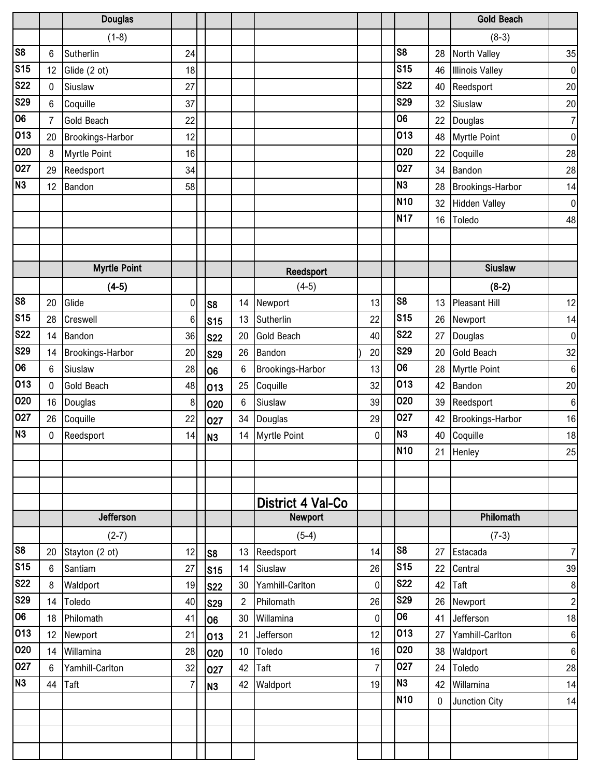|                 |    | <b>Douglas</b>      |                  |                |                 |                |                     |                |                 |    | <b>Gold Beach</b>       |                  |
|-----------------|----|---------------------|------------------|----------------|-----------------|----------------|---------------------|----------------|-----------------|----|-------------------------|------------------|
|                 |    | $(1-8)$             |                  |                |                 |                |                     |                |                 |    | $(8-3)$                 |                  |
| S8              | 6  | Sutherlin           | 24               |                |                 |                |                     |                | S <sub>8</sub>  | 28 | <b>North Valley</b>     | 35               |
| S <sub>15</sub> | 12 | Glide (2 ot)        | 18               |                |                 |                |                     |                | <b>S15</b>      | 46 | <b>Illinois Valley</b>  | $\overline{0}$   |
| <b>S22</b>      | 0  | Siuslaw             | 27               |                |                 |                |                     |                | <b>S22</b>      | 40 | Reedsport               | 20               |
| <b>S29</b>      | 6  | Coquille            | 37               |                |                 |                |                     |                | <b>S29</b>      | 32 | Siuslaw                 | $20\,$           |
| 06              | 7  | <b>Gold Beach</b>   | 22               |                |                 |                |                     |                | 06              | 22 | Douglas                 | $\overline{7}$   |
| 013             | 20 | Brookings-Harbor    | 12               |                |                 |                |                     |                | 013             | 48 | <b>Myrtle Point</b>     | $\overline{0}$   |
| 020             | 8  | <b>Myrtle Point</b> | 16               |                |                 |                |                     |                | 020             | 22 | Coquille                | 28               |
| 027             | 29 | Reedsport           | 34               |                |                 |                |                     |                | 027             | 34 | Bandon                  | 28               |
| N <sub>3</sub>  | 12 | Bandon              | 58               |                |                 |                |                     |                | N <sub>3</sub>  | 28 | Brookings-Harbor        | 14               |
|                 |    |                     |                  |                |                 |                |                     |                | N <sub>10</sub> | 32 | <b>Hidden Valley</b>    | $\boldsymbol{0}$ |
|                 |    |                     |                  |                |                 |                |                     |                | <b>N17</b>      | 16 | Toledo                  | 48               |
|                 |    |                     |                  |                |                 |                |                     |                |                 |    |                         |                  |
|                 |    |                     |                  |                |                 |                |                     |                |                 |    |                         |                  |
|                 |    | <b>Myrtle Point</b> |                  |                |                 |                | Reedsport           |                |                 |    | <b>Siuslaw</b>          |                  |
|                 |    | $(4-5)$             |                  |                |                 |                | $(4-5)$             |                |                 |    | $(8-2)$                 |                  |
| S <sub>8</sub>  | 20 | Glide               | $\boldsymbol{0}$ | S <sub>8</sub> |                 | 14             | Newport             | 13             | S <sub>8</sub>  | 13 | <b>Pleasant Hill</b>    | 12               |
| S <sub>15</sub> | 28 | Creswell            | 6                |                | S <sub>15</sub> | 13             | Sutherlin           | 22             | <b>S15</b>      | 26 | Newport                 | 14               |
| <b>S22</b>      | 14 | Bandon              | 36               |                | <b>S22</b>      | 20             | <b>Gold Beach</b>   | 40             | <b>S22</b>      | 27 | Douglas                 | $\pmb{0}$        |
| <b>S29</b>      | 14 | Brookings-Harbor    | 20               |                | <b>S29</b>      | 26             | Bandon              | 20             | <b>S29</b>      | 20 | <b>Gold Beach</b>       | 32               |
| 06              | 6  | Siuslaw             | 28               | 06             |                 | 6              | Brookings-Harbor    | 13             | 06              | 28 | <b>Myrtle Point</b>     | $\bf 6$          |
| 013             | 0  | <b>Gold Beach</b>   | 48               |                | 013             | 25             | Coquille            | 32             | 013             | 42 | Bandon                  | 20               |
| 020             | 16 | Douglas             | 8                |                | 020             | 6              | Siuslaw             | 39             | 020             | 39 | Reedsport               | $\bf 6$          |
| 027             | 26 | Coquille            | 22               |                | 027             | 34             | Douglas             | 29             | 027             | 42 | <b>Brookings-Harbor</b> | 16               |
| N <sub>3</sub>  | 0  | Reedsport           | 14               | N <sub>3</sub> |                 | 14             | <b>Myrtle Point</b> | $\mathbf 0$    | N <sub>3</sub>  | 40 | Coquille                | 18               |
|                 |    |                     |                  |                |                 |                |                     |                | N <sub>10</sub> |    | 21 Henley               | 25               |
|                 |    |                     |                  |                |                 |                |                     |                |                 |    |                         |                  |
|                 |    |                     |                  |                |                 |                |                     |                |                 |    |                         |                  |
|                 |    |                     |                  |                |                 |                | District 4 Val-Co   |                |                 |    |                         |                  |
|                 |    | <b>Jefferson</b>    |                  |                |                 |                | Newport             |                |                 |    | Philomath               |                  |
|                 |    | $(2-7)$             |                  |                |                 |                | $(5-4)$             |                |                 |    | $(7-3)$                 |                  |
| S8              | 20 | Stayton (2 ot)      | 12               | S <sub>8</sub> |                 | 13             | Reedsport           | 14             | S <sub>8</sub>  | 27 | Estacada                | 7 <sup>1</sup>   |
| S <sub>15</sub> | 6  | Santiam             | 27               |                | S <sub>15</sub> | 14             | Siuslaw             | 26             | <b>S15</b>      | 22 | Central                 | $39\,$           |
| <b>S22</b>      | 8  | Waldport            | 19               | <b>S22</b>     |                 | 30             | Yamhill-Carlton     | $\mathbf 0$    | <b>S22</b>      | 42 | Taft                    | 8 <sup>1</sup>   |
| <b>S29</b>      | 14 | Toledo              | 40               |                | <b>S29</b>      | $\overline{c}$ | Philomath           | 26             | <b>S29</b>      | 26 | Newport                 | $\mathbf{2}$     |
| 06              | 18 | Philomath           | 41               | 06             |                 | 30             | Willamina           | $\pmb{0}$      | 06              | 41 | Jefferson               | 18               |
| 013             | 12 | Newport             | 21               |                | 013             | 21             | Jefferson           | 12             | 013             | 27 | Yamhill-Carlton         | $\bf 6$          |
| 020             | 14 | Willamina           | 28               |                | 020             | 10             | Toledo              | 16             | 020             | 38 | Waldport                | $6 \mid$         |
| 027             | 6  | Yamhill-Carlton     | 32               |                | 027             | 42             | Taft                | $\overline{7}$ | 027             | 24 | Toledo                  | 28               |
| N <sub>3</sub>  | 44 | Taft                | 7                | N <sub>3</sub> |                 | 42             | Waldport            | 19             | N <sub>3</sub>  | 42 | Willamina               | 14               |
|                 |    |                     |                  |                |                 |                |                     |                | N <sub>10</sub> | 0  | Junction City           | 14               |
|                 |    |                     |                  |                |                 |                |                     |                |                 |    |                         |                  |
|                 |    |                     |                  |                |                 |                |                     |                |                 |    |                         |                  |
|                 |    |                     |                  |                |                 |                |                     |                |                 |    |                         |                  |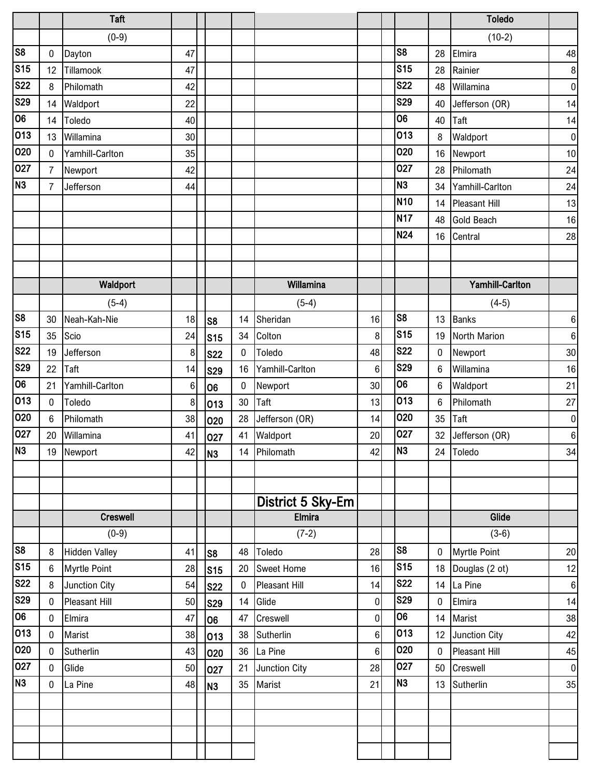|                        |                | <b>Taft</b>          |    |                  |             |                      |                |                  |             | <b>Toledo</b>          |                |
|------------------------|----------------|----------------------|----|------------------|-------------|----------------------|----------------|------------------|-------------|------------------------|----------------|
|                        |                | $(0-9)$              |    |                  |             |                      |                |                  |             | $(10-2)$               |                |
| $\overline{\text{S8}}$ | 0              | Dayton               | 47 |                  |             |                      |                | S <sub>8</sub>   | 28          | Elmira                 | 48             |
| S <sub>15</sub>        | 12             | Tillamook            | 47 |                  |             |                      |                | S <sub>15</sub>  | 28          | Rainier                | $\bf 8$        |
| <b>S22</b>             | 8              | Philomath            | 42 |                  |             |                      |                | <b>S22</b>       | 48          | Willamina              | 0              |
| <b>S29</b>             | 14             | Waldport             | 22 |                  |             |                      |                | <b>S29</b>       | 40          | Jefferson (OR)         | 14             |
| 06                     | 14             | Toledo               | 40 |                  |             |                      |                | 06               | 40          | Taft                   | 14             |
| 013                    | 13             | Willamina            | 30 |                  |             |                      |                | 013              | 8           | Waldport               | $\overline{0}$ |
| 020                    | 0              | Yamhill-Carlton      | 35 |                  |             |                      |                | 020              | 16          | Newport                | $10$           |
| 027                    | $\overline{7}$ | Newport              | 42 |                  |             |                      |                | 027              | 28          | Philomath              | 24             |
| N <sub>3</sub>         | 7              | Jefferson            | 44 |                  |             |                      |                | N <sub>3</sub>   | 34          | Yamhill-Carlton        | 24             |
|                        |                |                      |    |                  |             |                      |                | <b>N10</b>       | 14          | <b>Pleasant Hill</b>   | 13             |
|                        |                |                      |    |                  |             |                      |                | <b>N17</b>       | 48          | <b>Gold Beach</b>      | 16             |
|                        |                |                      |    |                  |             |                      |                | <b>N24</b>       | 16          | Central                | 28             |
|                        |                |                      |    |                  |             |                      |                |                  |             |                        |                |
|                        |                |                      |    |                  |             |                      |                |                  |             |                        |                |
|                        |                | Waldport             |    |                  |             | Willamina            |                |                  |             | <b>Yamhill-Carlton</b> |                |
|                        |                | $(5-4)$              |    |                  |             | $(5-4)$              |                |                  |             | $(4-5)$                |                |
| S <sub>8</sub>         | 30             | Neah-Kah-Nie         | 18 | S <sub>8</sub>   | 14          | Sheridan             | 16             | S <sub>8</sub>   | 13          | <b>Banks</b>           | 6              |
| S <sub>15</sub>        | 35             | Scio                 | 24 | S <sub>15</sub>  | 34          | Colton               | 8              | <b>S15</b>       | 19          | North Marion           | 6              |
| <b>S22</b>             | 19             | Jefferson            | 8  | <b>S22</b>       | $\mathbf 0$ | Toledo               | 48             | <b>S22</b>       | 0           | Newport                | 30             |
| <b>S29</b>             | 22             | Taft                 | 14 | <b>S29</b>       | 16          | Yamhill-Carlton      | 6              | <b>S29</b>       | $\,6\,$     | Willamina              | 16             |
| 06                     | 21             | Yamhill-Carlton      | 6  | 06               | 0           | Newport              | 30             | 06               | 6           | Waldport               | 21             |
| 013                    | 0              | Toledo               | 8  | 013              | 30          | Taft                 | 13             | 013              | 6           | Philomath              | 27             |
| 020                    | 6              | Philomath            | 38 | 020              | 28          | Jefferson (OR)       | 14             | 020              | 35          | Taft                   | $\pmb{0}$      |
| 027                    | 20             | Willamina            | 41 | 027              | 41          | Waldport             | 20             | 027              | 32          | Jefferson (OR)         | $\,6\,$        |
| N <sub>3</sub>         |                | 19 Newport           | 42 | N3               |             | 14 Philomath         | 42             | N <sub>3</sub>   | 24          | Toledo                 | 34             |
|                        |                |                      |    |                  |             |                      |                |                  |             |                        |                |
|                        |                |                      |    |                  |             |                      |                |                  |             |                        |                |
|                        |                |                      |    |                  |             | District 5 Sky-Em    |                |                  |             |                        |                |
|                        |                | <b>Creswell</b>      |    |                  |             | <b>Elmira</b>        |                |                  |             | Glide                  |                |
|                        |                | $(0-9)$              |    |                  |             | $(7-2)$              |                |                  |             | $(3-6)$                |                |
| $\overline{\text{S8}}$ | 8              | <b>Hidden Valley</b> | 41 | S <sub>8</sub>   | 48          | Toledo               | 28             | S <sub>8</sub>   | $\mathbf 0$ | <b>Myrtle Point</b>    | 20             |
| S <sub>15</sub>        | 6              | <b>Myrtle Point</b>  | 28 | $\space{25}$ S15 | 20          | <b>Sweet Home</b>    | 16             | S <sub>15</sub>  |             | 18 Douglas (2 ot)      | 12             |
| <b>S22</b>             | 8              | Junction City        | 54 | <b>S22</b>       | $\mathbf 0$ | <b>Pleasant Hill</b> | 14             | <b>S22</b>       | 14          | La Pine                | $6 \mid$       |
| <b>S29</b><br>06       | 0              | <b>Pleasant Hill</b> | 50 | <b>S29</b>       | 14          | Glide                | $\overline{0}$ | <b>S29</b><br>06 | $\pmb{0}$   | Elmira                 | 14             |
|                        | $\mathbf 0$    | Elmira               | 47 | 06               | 47          | Creswell             | $\pmb{0}$      | 013              | 14          | Marist                 | 38             |
| 013                    | $\mathbf 0$    | Marist               | 38 | 013              | 38          | Sutherlin            | 6              | 020              | 12          | Junction City          | 42             |
| 020<br>027             | $\mathbf 0$    | Sutherlin            | 43 | 020              | 36          | La Pine              | 6<br>28        | 027              | $\mathbf 0$ | <b>Pleasant Hill</b>   | 45             |
| N <sub>3</sub>         | 0              | Glide                | 50 | 027              | 21          | Junction City        |                | N <sub>3</sub>   | 50          | Creswell               | 0              |
|                        | 0              | La Pine              | 48 | N <sub>3</sub>   | 35          | Marist               | 21             |                  | 13          | Sutherlin              | 35             |
|                        |                |                      |    |                  |             |                      |                |                  |             |                        |                |
|                        |                |                      |    |                  |             |                      |                |                  |             |                        |                |
|                        |                |                      |    |                  |             |                      |                |                  |             |                        |                |
|                        |                |                      |    |                  |             |                      |                |                  |             |                        |                |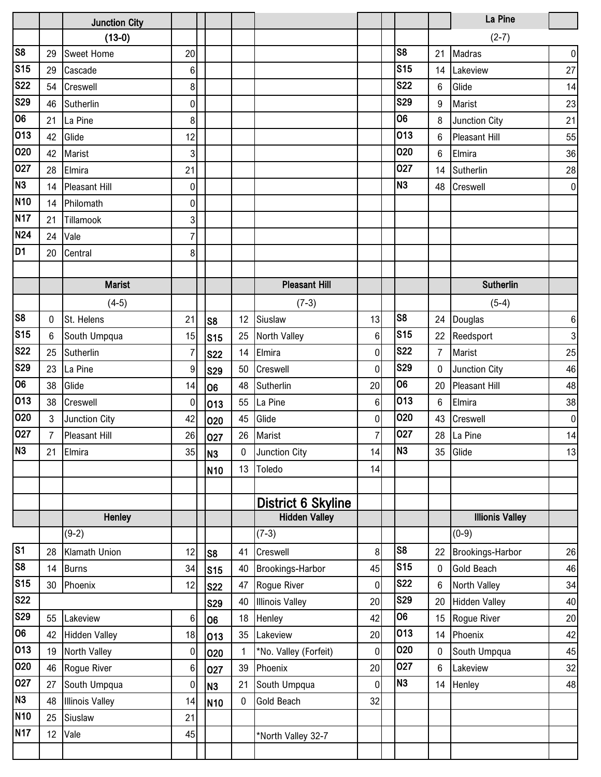|                                                  |                | <b>Junction City</b>   |                |                 |                  |                           |                |                          |                  | La Pine                |                 |
|--------------------------------------------------|----------------|------------------------|----------------|-----------------|------------------|---------------------------|----------------|--------------------------|------------------|------------------------|-----------------|
|                                                  |                | $(13-0)$               |                |                 |                  |                           |                |                          |                  | $(2-7)$                |                 |
| s <sub>8</sub>                                   | 29             | Sweet Home             | 20             |                 |                  |                           |                | S <sub>8</sub>           | 21               | Madras                 | 0               |
| S <sub>15</sub>                                  | 29             | Cascade                | 6              |                 |                  |                           |                | <b>S15</b>               | 14               | Lakeview               | 27              |
| <b>S22</b>                                       | 54             | Creswell               | 8              |                 |                  |                           |                | <b>S22</b>               | $6\phantom{1}6$  | Glide                  | 14              |
| <b>S29</b>                                       | 46             | Sutherlin              | 0              |                 |                  |                           |                | <b>S29</b>               | 9                | Marist                 | 23              |
| 06                                               | 21             | La Pine                | 8              |                 |                  |                           |                | 06                       | 8                | Junction City          | 21              |
| 013                                              | 42             | Glide                  | 12             |                 |                  |                           |                | 013                      | 6                | <b>Pleasant Hill</b>   | 55              |
| 020                                              | 42             | Marist                 | $\mathbf{3}$   |                 |                  |                           |                | 020                      | 6                | Elmira                 | 36              |
| 027                                              | 28             | Elmira                 | 21             |                 |                  |                           |                | 027                      | 14               | Sutherlin              | 28              |
| N3                                               | 14             | <b>Pleasant Hill</b>   | $\mathbf 0$    |                 |                  |                           |                | N <sub>3</sub>           | 48               | Creswell               | 0               |
| <b>N10</b>                                       | 14             | Philomath              | $\mathbf 0$    |                 |                  |                           |                |                          |                  |                        |                 |
| N17                                              | 21             | Tillamook              | 3              |                 |                  |                           |                |                          |                  |                        |                 |
| N24                                              | 24             | Vale                   | $\overline{7}$ |                 |                  |                           |                |                          |                  |                        |                 |
| $\overline{D1}$                                  | 20             | Central                | 8              |                 |                  |                           |                |                          |                  |                        |                 |
|                                                  |                |                        |                |                 |                  |                           |                |                          |                  |                        |                 |
|                                                  |                | <b>Marist</b>          |                |                 |                  | <b>Pleasant Hill</b>      |                |                          |                  | <b>Sutherlin</b>       |                 |
|                                                  |                | $(4-5)$                |                |                 |                  | $(7-3)$                   |                |                          |                  | $(5-4)$                |                 |
| $\overline{\text{S8}}$                           | 0              | St. Helens             | 21             | S8              | 12               | Siuslaw                   | 13             | S <sub>8</sub>           | 24               | Douglas                | $\,6\,$         |
| S <sub>15</sub>                                  | 6              | South Umpqua           | 15             | S <sub>15</sub> | 25               | North Valley              | 6              | S <sub>15</sub>          | 22               | Reedsport              | 3 <sup>1</sup>  |
| <b>S22</b>                                       | 25             | Sutherlin              | $\overline{7}$ | <b>S22</b>      | 14               | Elmira                    | 0              | <b>S22</b>               | $\overline{7}$   | Marist                 | 25              |
| S29                                              | 23             | La Pine                | 9              | <b>S29</b>      | 50               | Creswell                  | 0              | S <sub>29</sub>          | $\boldsymbol{0}$ | Junction City          | 46              |
| 06                                               | 38             | Glide                  | 14             | lo6             | 48               | Sutherlin                 | 20             | 06                       | 20               | Pleasant Hill          | 48              |
| 013                                              | 38             | Creswell               | 0              | 013             | 55               | La Pine                   | $\,6$          | 013                      | $6\phantom{1}6$  | Elmira                 | 38              |
| 020                                              | $\mathbf{3}$   | Junction City          | 42             | 020             | 45               | Glide                     | 0              | 020                      | 43               | Creswell               | 0               |
| 027                                              | $\overline{7}$ | <b>Pleasant Hill</b>   | 26             | 027             | 26               | Marist                    | $\overline{7}$ | 027                      | 28               | La Pine                | 14              |
| $\overline{\mathsf{N}}3$                         |                | 21 Elmira              | 35             | N <sub>3</sub>  |                  | 0 Junction City           | 14             | <b>N3</b>                |                  | 35 Glide               | 13              |
|                                                  |                |                        |                | N <sub>10</sub> | 13               | Toledo                    | 14             |                          |                  |                        |                 |
|                                                  |                |                        |                |                 |                  |                           |                |                          |                  |                        |                 |
|                                                  |                |                        |                |                 |                  | <b>District 6 Skyline</b> |                |                          |                  |                        |                 |
|                                                  |                | Henley                 |                |                 |                  | <b>Hidden Valley</b>      |                |                          |                  | <b>Illionis Valley</b> |                 |
|                                                  |                | $(9-2)$                |                |                 |                  | $(7-3)$                   |                |                          |                  | $(0-9)$                |                 |
| $\overline{\text{S1}}$<br>$\overline{\text{S8}}$ | 28             | Klamath Union          | 12             | ls8             | 41               | Creswell                  | 8              | S <sub>8</sub>           | 22               | Brookings-Harbor       | 26              |
|                                                  | 14             | <b>Burns</b>           | 34             | $\mathsf{S}$ 15 | 40               | Brookings-Harbor          | 45             | <b>S15</b>               | $\boldsymbol{0}$ | Gold Beach             | 46              |
| S <sub>15</sub><br><b>S22</b>                    | 30             | Phoenix                | 12             | <b>S22</b>      | 47               | Rogue River               | 0              | <b>S22</b><br><b>S29</b> | $\,6$            | North Valley           | 34              |
| S29                                              |                |                        |                | <b>S29</b>      | 40               | <b>Illinois Valley</b>    | 20             | 06                       | 20               | <b>Hidden Valley</b>   | 40              |
| 06                                               | 55             | Lakeview               | 6              | 106             | 18               | Henley                    | 42             | 013                      | 15               | Rogue River            | 20 <sup>1</sup> |
|                                                  | 42             | <b>Hidden Valley</b>   | 18             | 013             | 35               | Lakeview                  | 20             | 020                      | 14               | Phoenix                | 42              |
| 013<br>020                                       | 19             | North Valley           | $\mathbf 0$    | 020             | 1                | *No. Valley (Forfeit)     | 0              | 027                      | 0                | South Umpqua           | 45              |
|                                                  | 46             | Rogue River            | 6              | 027             | 39               | Phoenix                   | 20             | N <sub>3</sub>           | 6                | Lakeview               | 32              |
| 027<br>N3                                        | 27             | South Umpqua           | 0              | N <sub>3</sub>  | 21               | South Umpqua              | 0              |                          | 14               | Henley                 | 48              |
| <b>N10</b>                                       | 48             | <b>Illinois Valley</b> | 14             | N <sub>10</sub> | $\boldsymbol{0}$ | <b>Gold Beach</b>         | 32             |                          |                  |                        |                 |
|                                                  | 25             | Siuslaw                | 21             |                 |                  |                           |                |                          |                  |                        |                 |
| N <sub>17</sub>                                  | 12             | Vale                   | 45             |                 |                  | *North Valley 32-7        |                |                          |                  |                        |                 |
|                                                  |                |                        |                |                 |                  |                           |                |                          |                  |                        |                 |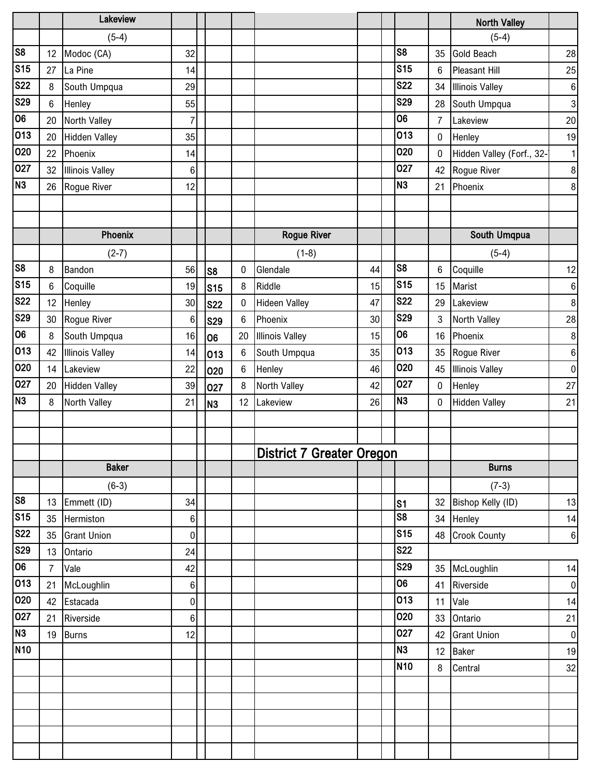|                         |                | Lakeview               |                  |                 |    |                                  |    |                          |                  | <b>North Valley</b>       |                  |
|-------------------------|----------------|------------------------|------------------|-----------------|----|----------------------------------|----|--------------------------|------------------|---------------------------|------------------|
|                         |                | $(5-4)$                |                  |                 |    |                                  |    |                          |                  | $(5-4)$                   |                  |
| $\overline{\text{S8}}$  | 12             | Modoc (CA)             | 32               |                 |    |                                  |    | S <sub>8</sub>           | 35               | Gold Beach                | 28               |
| S <sub>15</sub>         | 27             | La Pine                | 14               |                 |    |                                  |    | <b>S15</b>               | $6\phantom{.}6$  | Pleasant Hill             | 25               |
| <b>S22</b>              | 8              | South Umpqua           | 29               |                 |    |                                  |    | <b>S22</b>               | 34               | <b>Illinois Valley</b>    | $\,6\,$          |
| S <sub>29</sub>         | 6              | Henley                 | 55               |                 |    |                                  |    | <b>S29</b>               | 28               | South Umpqua              | 3                |
| $\overline{06}$         | 20             | North Valley           | $\overline{7}$   |                 |    |                                  |    | 06                       | $\overline{7}$   | Lakeview                  | 20               |
| $\overline{013}$        | 20             | <b>Hidden Valley</b>   | 35               |                 |    |                                  |    | 013                      | 0                | Henley                    | 19               |
| 020                     | 22             | Phoenix                | 14               |                 |    |                                  |    | 020                      | $\mathbf 0$      | Hidden Valley (Forf., 32- | 1                |
| 027                     | 32             | <b>Illinois Valley</b> | $6\phantom{1}6$  |                 |    |                                  |    | 027                      | 42               | Rogue River               | 8 <sup>1</sup>   |
| N <sub>3</sub>          | 26             | Rogue River            | 12               |                 |    |                                  |    | N <sub>3</sub>           | 21               | Phoenix                   | $\boldsymbol{8}$ |
|                         |                |                        |                  |                 |    |                                  |    |                          |                  |                           |                  |
|                         |                |                        |                  |                 |    |                                  |    |                          |                  |                           |                  |
|                         |                | Phoenix                |                  |                 |    | <b>Rogue River</b>               |    |                          |                  | South Umqpua              |                  |
|                         |                | $(2-7)$                |                  |                 |    | $(1-8)$                          |    |                          |                  | $(5-4)$                   |                  |
| $\overline{\text{S8}}$  | 8              | Bandon                 | 56               | S8              | 0  | Glendale                         | 44 | S <sub>8</sub>           | 6                | Coquille                  | 12               |
| $\overline{\text{S}15}$ | $6\phantom{.}$ | Coquille               | 19               | $\mathsf{S}$ 15 | 8  | Riddle                           | 15 | $\overline{\text{S}}$ 15 | 15               | Marist                    | $\,6\,$          |
| <b>S22</b>              | 12             | Henley                 | 30               | <b>S22</b>      | 0  | <b>Hideen Valley</b>             | 47 | <b>S22</b>               | 29               | Lakeview                  | $\boldsymbol{8}$ |
| <b>S29</b>              | 30             | Rogue River            | $6\phantom{1}6$  | <b>S29</b>      | 6  | Phoenix                          | 30 | <b>S29</b>               | 3                | North Valley              | 28               |
| 06                      | 8              | South Umpqua           | 16               | lo6             | 20 | <b>Illinois Valley</b>           | 15 | 06                       | 16               | Phoenix                   | 8                |
| 013                     | 42             | <b>Illinois Valley</b> | 14               | 013             | 6  | South Umpqua                     | 35 | 013                      | 35               | Rogue River               | $\,6\,$          |
| 020                     | 14             | Lakeview               | 22               | 020             | 6  | Henley                           | 46 | 020                      | 45               | <b>Illinois Valley</b>    | $\overline{0}$   |
| 027                     | 20             | <b>Hidden Valley</b>   | 39               | 027             | 8  | North Valley                     | 42 | 027                      | $\boldsymbol{0}$ | Henley                    | 27               |
| N3                      | 8              | North Valley           | 21               | N <sub>3</sub>  | 12 | Lakeview                         | 26 | <b>N3</b>                | 0                | <b>Hidden Valley</b>      | 21               |
|                         |                |                        |                  |                 |    |                                  |    |                          |                  |                           |                  |
|                         |                |                        |                  |                 |    |                                  |    |                          |                  |                           |                  |
|                         |                |                        |                  |                 |    | <b>District 7 Greater Oregon</b> |    |                          |                  |                           |                  |
|                         |                | <b>Baker</b>           |                  |                 |    |                                  |    |                          |                  | <b>Burns</b>              |                  |
|                         |                | $(6-3)$                |                  |                 |    |                                  |    |                          |                  | $(7-3)$                   |                  |
| $\overline{\text{S8}}$  | 13             | Emmett (ID)            | 34               |                 |    |                                  |    | S <sub>1</sub>           | 32               | Bishop Kelly (ID)         | 13               |
| S <sub>15</sub>         | 35             | Hermiston              | 6                |                 |    |                                  |    | $\overline{\text{ss}}$   | 34               | Henley                    | 14               |
| <b>S22</b>              | 35             | <b>Grant Union</b>     | $\pmb{0}$        |                 |    |                                  |    | <b>S15</b>               | 48               | <b>Crook County</b>       | 6                |
| $\overline{\text{S29}}$ | 13             | Ontario                | 24               |                 |    |                                  |    | <b>S22</b>               |                  |                           |                  |
| $\overline{00}$         | $\overline{7}$ | Vale                   | 42               |                 |    |                                  |    | <b>S29</b>               | 35               | McLoughlin                | 14               |
| 013                     | 21             | McLoughlin             | $\bf 6$          |                 |    |                                  |    | 06                       | 41               | Riverside                 | 0                |
| 020                     | 42             | Estacada               | $\boldsymbol{0}$ |                 |    |                                  |    | 013                      | 11               | Vale                      | 14               |
| 027                     | 21             | Riverside              | 6                |                 |    |                                  |    | 020                      | 33               | Ontario                   | 21               |
| N3                      | 19             | <b>Burns</b>           | 12               |                 |    |                                  |    | 027                      | 42               | <b>Grant Union</b>        | $\overline{0}$   |
| <b>N10</b>              |                |                        |                  |                 |    |                                  |    | N <sub>3</sub>           | 12               | <b>Baker</b>              | 19               |
|                         |                |                        |                  |                 |    |                                  |    | N <sub>10</sub>          | 8                | Central                   | 32               |
|                         |                |                        |                  |                 |    |                                  |    |                          |                  |                           |                  |
|                         |                |                        |                  |                 |    |                                  |    |                          |                  |                           |                  |
|                         |                |                        |                  |                 |    |                                  |    |                          |                  |                           |                  |
|                         |                |                        |                  |                 |    |                                  |    |                          |                  |                           |                  |
|                         |                |                        |                  |                 |    |                                  |    |                          |                  |                           |                  |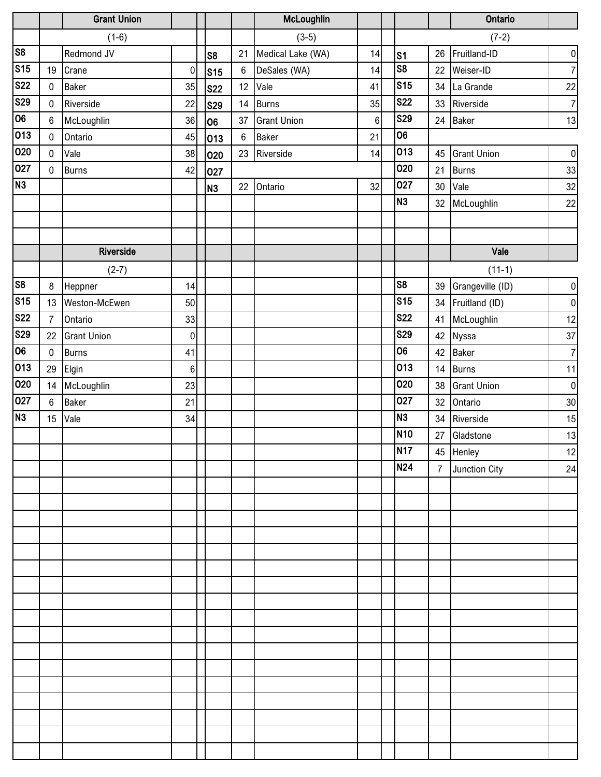|                         |                  | <b>Grant Union</b> |             |                |         | McLoughlin         |    |                        |                | Ontario            |                   |
|-------------------------|------------------|--------------------|-------------|----------------|---------|--------------------|----|------------------------|----------------|--------------------|-------------------|
|                         |                  | $(1-6)$            |             |                |         | $(3-5)$            |    |                        |                | $(7-2)$            |                   |
| s <sub>8</sub>          |                  | Redmond JV         |             | S <sub>8</sub> | 21      | Medical Lake (WA)  | 14 | s <sub>1</sub>         | 26             | Fruitland-ID       | $\mathbf{0}$      |
| $\overline{\text{S15}}$ | 19               | Crane              | 0           | <b>S15</b>     | $\,6\,$ | DeSales (WA)       | 14 | $\overline{\text{S8}}$ | 22             | Weiser-ID          | $\overline{7}$    |
| <b>S22</b>              | $\mathbf 0$      | <b>Baker</b>       | 35          | <b>S22</b>     | 12      | Vale               | 41 | S <sub>15</sub>        | 34             | La Grande          | 22                |
| S29                     | $\mathbf 0$      | Riverside          | 22          | <b>S29</b>     | 14      | <b>Burns</b>       | 35 | <b>S22</b>             | 33             | Riverside          | $\overline{7}$    |
| 06                      | $\boldsymbol{6}$ | McLoughlin         | 36          | 06             | 37      | <b>Grant Union</b> | 6  | <b>S29</b>             | 24             | Baker              | 13                |
| 013                     | $\mathbf 0$      | Ontario            | 45          | 013            | $\,6\,$ | <b>Baker</b>       | 21 | $\overline{06}$        |                |                    |                   |
| 020                     | $\pmb{0}$        | Vale               | 38          | 020            | 23      | Riverside          | 14 | 013                    | 45             | <b>Grant Union</b> | $\overline{0}$    |
| 027                     | $\mathbf 0$      | <b>Burns</b>       | 42          | 027            |         |                    |    | 020                    | 21             | <b>Burns</b>       | 33                |
| N3                      |                  |                    |             | N <sub>3</sub> | 22      | Ontario            | 32 | 027                    | 30             | Vale               | 32                |
|                         |                  |                    |             |                |         |                    |    | N <sub>3</sub>         | 32             | McLoughlin         | 22                |
|                         |                  |                    |             |                |         |                    |    |                        |                |                    |                   |
|                         |                  |                    |             |                |         |                    |    |                        |                |                    |                   |
|                         |                  | Riverside          |             |                |         |                    |    |                        |                | Vale               |                   |
|                         |                  | $(2-7)$            |             |                |         |                    |    |                        |                | $(11-1)$           |                   |
| $\overline{\text{S8}}$  | $\, 8$           | Heppner            | 14          |                |         |                    |    | S <sub>8</sub>         | 39             | Grangeville (ID)   | $\vert 0 \vert$   |
| S <sub>15</sub>         | 13               | Weston-McEwen      | 50          |                |         |                    |    | <b>S15</b>             | 34             | Fruitland (ID)     | $\overline{0}$    |
| $\overline{\text{S}22}$ | $\overline{7}$   | Ontario            | 33          |                |         |                    |    | <b>S22</b>             | 41             | McLoughlin         | $12 \overline{)}$ |
| S29                     | 22               | <b>Grant Union</b> | $\mathbf 0$ |                |         |                    |    | <b>S29</b>             | 42             | Nyssa              | 37                |
| 06                      | $\pmb{0}$        | <b>Burns</b>       | 41          |                |         |                    |    | 06                     | 42             | <b>Baker</b>       | $\overline{7}$    |
| 013                     | 29               | Elgin              | $\,6$       |                |         |                    |    | 013                    | 14             | <b>Burns</b>       | 11                |
| 020                     | 14               | McLoughlin         | 23          |                |         |                    |    | 020                    | 38             | <b>Grant Union</b> | $\overline{0}$    |
| 027                     | $\boldsymbol{6}$ | Baker              | 21          |                |         |                    |    | 027                    | 32             | Ontario            | $30\,$            |
| N3                      | 15               | Vale               | 34          |                |         |                    |    | N <sub>3</sub>         | 34             | Riverside          | 15                |
|                         |                  |                    |             |                |         |                    |    | <b>N10</b>             | 27             | Gladstone          | 13                |
|                         |                  |                    |             |                |         |                    |    | <b>N17</b>             |                | 45 Henley          | 12                |
|                         |                  |                    |             |                |         |                    |    | <b>N24</b>             | $\overline{7}$ | Junction City      | 24                |
|                         |                  |                    |             |                |         |                    |    |                        |                |                    |                   |
|                         |                  |                    |             |                |         |                    |    |                        |                |                    |                   |
|                         |                  |                    |             |                |         |                    |    |                        |                |                    |                   |
|                         |                  |                    |             |                |         |                    |    |                        |                |                    |                   |
|                         |                  |                    |             |                |         |                    |    |                        |                |                    |                   |
|                         |                  |                    |             |                |         |                    |    |                        |                |                    |                   |
|                         |                  |                    |             |                |         |                    |    |                        |                |                    |                   |
|                         |                  |                    |             |                |         |                    |    |                        |                |                    |                   |
|                         |                  |                    |             |                |         |                    |    |                        |                |                    |                   |
|                         |                  |                    |             |                |         |                    |    |                        |                |                    |                   |
|                         |                  |                    |             |                |         |                    |    |                        |                |                    |                   |
|                         |                  |                    |             |                |         |                    |    |                        |                |                    |                   |
|                         |                  |                    |             |                |         |                    |    |                        |                |                    |                   |
|                         |                  |                    |             |                |         |                    |    |                        |                |                    |                   |
|                         |                  |                    |             |                |         |                    |    |                        |                |                    |                   |
|                         |                  |                    |             |                |         |                    |    |                        |                |                    |                   |
|                         |                  |                    |             |                |         |                    |    |                        |                |                    |                   |